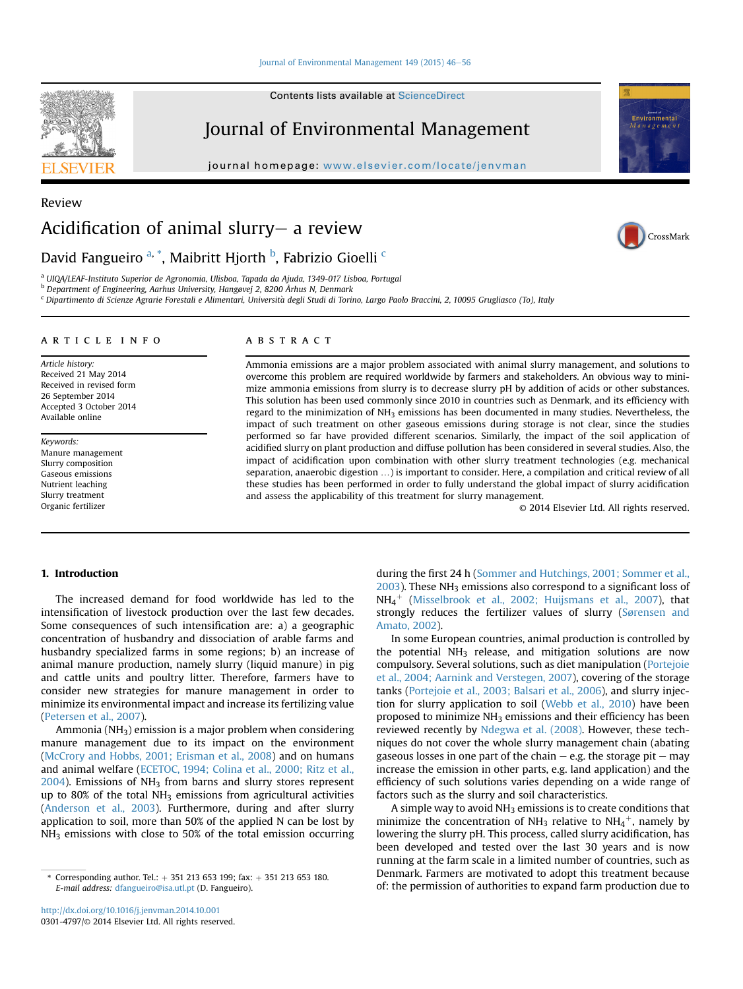#### [Journal of Environmental Management 149 \(2015\) 46](http://dx.doi.org/10.1016/j.jenvman.2014.10.001)-[56](http://dx.doi.org/10.1016/j.jenvman.2014.10.001)

Contents lists available at ScienceDirect

# Journal of Environmental Management

journal homepage: [www.elsevier.com/locate/jenvman](http://www.elsevier.com/locate/jenvman)



## David Fangueiro <sup>a, \*</sup>, Maibritt Hjorth <sup>b</sup>, Fabrizio Gioelli <sup>c</sup>

<sup>a</sup> UIQA/LEAF-Instituto Superior de Agronomia, Ulisboa, Tapada da Ajuda, 1349-017 Lisboa, Portugal

<sup>b</sup> Department of Engineering, Aarhus University, Hangøvej 2, 8200 Århus N, Denmark

<sup>c</sup> Dipartimento di Scienze Agrarie Forestali e Alimentari, Universita degli Studi di Torino, Largo Paolo Braccini, 2, 10095 Grugliasco (To), Italy

#### article info

Article history: Received 21 May 2014 Received in revised form 26 September 2014 Accepted 3 October 2014 Available online

Keywords: Manure management Slurry composition Gaseous emissions Nutrient leaching Slurry treatment Organic fertilizer

#### **ABSTRACT**

Ammonia emissions are a major problem associated with animal slurry management, and solutions to overcome this problem are required worldwide by farmers and stakeholders. An obvious way to minimize ammonia emissions from slurry is to decrease slurry pH by addition of acids or other substances. This solution has been used commonly since 2010 in countries such as Denmark, and its efficiency with regard to the minimization of  $NH_3$  emissions has been documented in many studies. Nevertheless, the impact of such treatment on other gaseous emissions during storage is not clear, since the studies performed so far have provided different scenarios. Similarly, the impact of the soil application of acidified slurry on plant production and diffuse pollution has been considered in several studies. Also, the impact of acidification upon combination with other slurry treatment technologies (e.g. mechanical separation, anaerobic digestion …) is important to consider. Here, a compilation and critical review of all these studies has been performed in order to fully understand the global impact of slurry acidification and assess the applicability of this treatment for slurry management.

© 2014 Elsevier Ltd. All rights reserved.

## 1. Introduction

The increased demand for food worldwide has led to the intensification of livestock production over the last few decades. Some consequences of such intensification are: a) a geographic concentration of husbandry and dissociation of arable farms and husbandry specialized farms in some regions; b) an increase of animal manure production, namely slurry (liquid manure) in pig and cattle units and poultry litter. Therefore, farmers have to consider new strategies for manure management in order to minimize its environmental impact and increase its fertilizing value ([Petersen et al., 2007\)](#page-9-0).

Ammonia (NH3) emission is a major problem when considering manure management due to its impact on the environment ([McCrory and Hobbs, 2001; Erisman et al., 2008\)](#page-9-0) and on humans and animal welfare ([ECETOC, 1994; Colina et al., 2000; Ritz et al.,](#page-8-0)  $2004$ ). Emissions of NH<sub>3</sub> from barns and slurry stores represent up to 80% of the total  $NH<sub>3</sub>$  emissions from agricultural activities ([Anderson et al., 2003\)](#page-8-0). Furthermore, during and after slurry application to soil, more than 50% of the applied N can be lost by NH<sub>3</sub> emissions with close to 50% of the total emission occurring during the first 24 h [\(Sommer and Hutchings, 2001; Sommer et al.,](#page-9-0)  $2003$ ). These NH<sub>3</sub> emissions also correspond to a significant loss of  $NH_4^+$  [\(Misselbrook et al., 2002; Huijsmans et al., 2007\)](#page-9-0), that strongly reduces the fertilizer values of slurry [\(Sørensen and](#page-9-0) [Amato, 2002](#page-9-0)).

In some European countries, animal production is controlled by the potential  $NH<sub>3</sub>$  release, and mitigation solutions are now compulsory. Several solutions, such as diet manipulation [\(Portejoie](#page-9-0) [et al., 2004; Aarnink and Verstegen, 2007\)](#page-9-0), covering of the storage tanks ([Portejoie et al., 2003; Balsari et al., 2006](#page-9-0)), and slurry injection for slurry application to soil [\(Webb et al., 2010](#page-10-0)) have been proposed to minimize  $NH<sub>3</sub>$  emissions and their efficiency has been reviewed recently by [Ndegwa et al. \(2008\).](#page-9-0) However, these techniques do not cover the whole slurry management chain (abating gaseous losses in one part of the chain  $-$  e.g. the storage pit  $-$  may increase the emission in other parts, e.g. land application) and the efficiency of such solutions varies depending on a wide range of factors such as the slurry and soil characteristics.

A simple way to avoid NH<sub>3</sub> emissions is to create conditions that minimize the concentration of NH<sub>3</sub> relative to NH<sub>4</sub><sup>+</sup>, namely by lowering the slurry pH. This process, called slurry acidification, has been developed and tested over the last 30 years and is now running at the farm scale in a limited number of countries, such as Denmark. Farmers are motivated to adopt this treatment because orresponding author. Tel.: + 351 213 653 199; fax: + 351 213 653 180.<br>Of: the permission of authorities to expand farm production due to \* Corresponding authorities to expand farm production due to



Review





E-mail address: [dfangueiro@isa.utl.pt](mailto:dfangueiro@isa.utl.pt) (D. Fangueiro).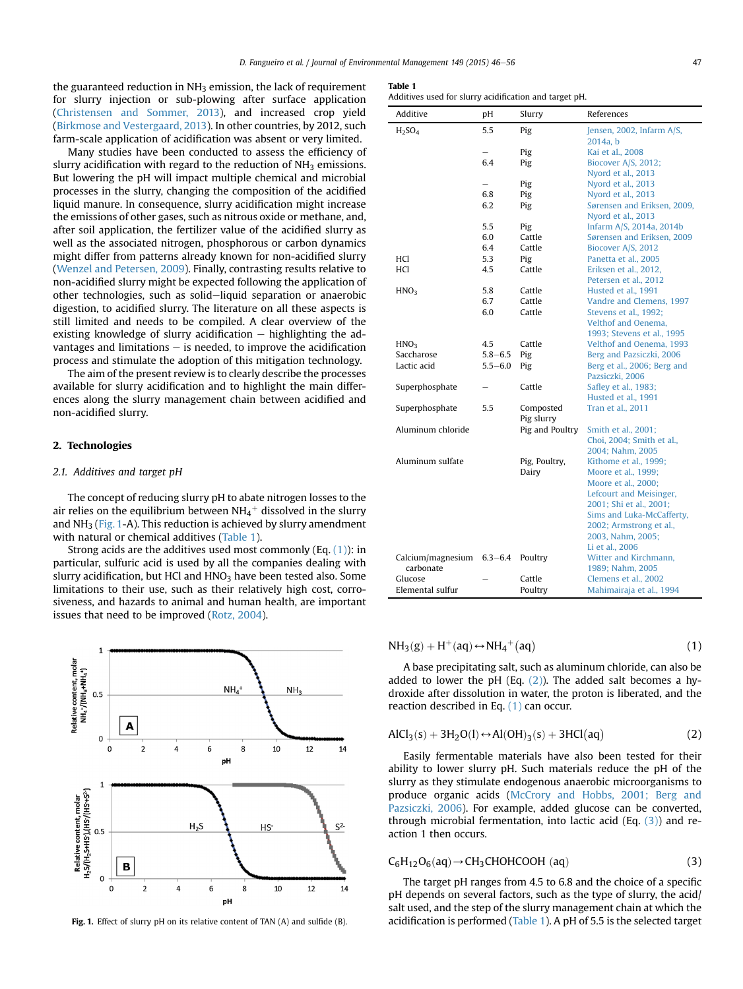<span id="page-1-0"></span>the guaranteed reduction in NH3 emission, the lack of requirement for slurry injection or sub-plowing after surface application ([Christensen and Sommer, 2013](#page-8-0)), and increased crop yield ([Birkmose and Vestergaard, 2013\)](#page-8-0). In other countries, by 2012, such farm-scale application of acidification was absent or very limited.

Many studies have been conducted to assess the efficiency of slurry acidification with regard to the reduction of  $NH<sub>3</sub>$  emissions. But lowering the pH will impact multiple chemical and microbial processes in the slurry, changing the composition of the acidified liquid manure. In consequence, slurry acidification might increase the emissions of other gases, such as nitrous oxide or methane, and, after soil application, the fertilizer value of the acidified slurry as well as the associated nitrogen, phosphorous or carbon dynamics might differ from patterns already known for non-acidified slurry ([Wenzel and Petersen, 2009\)](#page-10-0). Finally, contrasting results relative to non-acidified slurry might be expected following the application of other technologies, such as solid-liquid separation or anaerobic digestion, to acidified slurry. The literature on all these aspects is still limited and needs to be compiled. A clear overview of the existing knowledge of slurry acidification  $-$  highlighting the advantages and limitations  $-$  is needed, to improve the acidification process and stimulate the adoption of this mitigation technology.

The aim of the present review is to clearly describe the processes available for slurry acidification and to highlight the main differences along the slurry management chain between acidified and non-acidified slurry.

#### 2. Technologies

#### 2.1. Additives and target pH

The concept of reducing slurry pH to abate nitrogen losses to the air relies on the equilibrium between NH $_4^+$  dissolved in the slurry and  $NH<sub>3</sub>$  (Fig. 1-A). This reduction is achieved by slurry amendment with natural or chemical additives (Table 1).

Strong acids are the additives used most commonly (Eq.  $(1)$ ): in particular, sulfuric acid is used by all the companies dealing with slurry acidification, but HCl and  $HNO<sub>3</sub>$  have been tested also. Some limitations to their use, such as their relatively high cost, corrosiveness, and hazards to animal and human health, are important issues that need to be improved ([Rotz, 2004](#page-9-0)).



#### Table 1

Additives used for slurry acidification and target pH.

| Additive                       | рH          | Slurry          | References                  |
|--------------------------------|-------------|-----------------|-----------------------------|
| H <sub>2</sub> SO <sub>4</sub> | 5.5         | Pig             | Jensen, 2002, Infarm A/S,   |
|                                |             |                 | 2014a, b                    |
|                                |             | Pig             | Kai et al., 2008            |
|                                | 6.4         | Pig             | Biocover A/S, 2012;         |
|                                |             |                 | Nyord et al., 2013          |
|                                |             | Pig             | Nyord et al., 2013          |
|                                | 6.8         | Pig             | Nyord et al., 2013          |
|                                | 6.2         | Pig             | Sørensen and Eriksen, 2009, |
|                                |             |                 | Nyord et al., 2013          |
|                                | 5.5         | Pig             | Infarm A/S, 2014a, 2014b    |
|                                | 6.0         | Cattle          | Sørensen and Eriksen, 2009  |
|                                | 6.4         | Cattle          | Biocover A/S, 2012          |
| HCl                            | 5.3         | Pig             | Panetta et al., 2005        |
| HCl                            | 4.5         | Cattle          | Eriksen et al., 2012,       |
|                                |             |                 | Petersen et al., 2012       |
| HNO <sub>3</sub>               | 5.8         | Cattle          | Husted et al., 1991         |
|                                | 6.7         | Cattle          | Vandre and Clemens, 1997    |
|                                | 6.0         | Cattle          | Stevens et al., 1992;       |
|                                |             |                 | Velthof and Oenema.         |
|                                |             |                 | 1993; Stevens et al., 1995  |
| HNO <sub>3</sub>               | 4.5         | Cattle          | Velthof and Oenema, 1993    |
| Saccharose                     | $5.8 - 6.5$ | Pig             | Berg and Pazsiczki, 2006    |
| Lactic acid                    | $5.5 - 6.0$ | Pig             | Berg et al., 2006; Berg and |
|                                |             |                 | Pazsiczki, 2006             |
| Superphosphate                 |             | Cattle          | Safley et al., 1983;        |
|                                |             |                 | Husted et al., 1991         |
| Superphosphate                 | 5.5         | Composted       | <b>Tran et al., 2011</b>    |
|                                |             | Pig slurry      |                             |
| Aluminum chloride              |             | Pig and Poultry | Smith et al., 2001;         |
|                                |             |                 | Choi, 2004; Smith et al.,   |
|                                |             |                 | 2004; Nahm, 2005            |
| Aluminum sulfate               |             | Pig, Poultry,   | Kithome et al., 1999;       |
|                                |             | Dairy           | Moore et al., 1999;         |
|                                |             |                 | Moore et al., 2000;         |
|                                |             |                 | Lefcourt and Meisinger,     |
|                                |             |                 | 2001; Shi et al., 2001;     |
|                                |             |                 | Sims and Luka-McCafferty,   |
|                                |             |                 | 2002; Armstrong et al.,     |
|                                |             |                 | 2003, Nahm, 2005;           |
|                                |             |                 | Li et al., 2006             |
| Calcium/magnesium              | $6.3 - 6.4$ | Poultry         | Witter and Kirchmann,       |
| carbonate                      |             |                 | 1989: Nahm. 2005            |
| Glucose                        |             | Cattle          | Clemens et al., 2002        |
| Elemental sulfur               |             | Poultry         | Mahimairaja et al., 1994    |

 $NH<sub>3</sub>(g) + H<sup>+</sup>(aq) \leftrightarrow NH<sub>4</sub><sup>+</sup>($  $(aq)$  (1)

A base precipitating salt, such as aluminum chloride, can also be added to lower the pH (Eq.  $(2)$ ). The added salt becomes a hydroxide after dissolution in water, the proton is liberated, and the reaction described in Eq. (1) can occur.

$$
AICl3(s) + 3H2O(l) \leftrightarrow Al(OH)3(s) + 3HCl(aq)
$$
 (2)

Easily fermentable materials have also been tested for their ability to lower slurry pH. Such materials reduce the pH of the slurry as they stimulate endogenous anaerobic microorganisms to produce organic acids [\(McCrory and Hobbs, 2001; Berg and](#page-9-0) [Pazsiczki, 2006](#page-9-0)). For example, added glucose can be converted, through microbial fermentation, into lactic acid (Eq. (3)) and reaction 1 then occurs.

$$
C_6H_{12}O_6(aq) \rightarrow CH_3CHOHCOOH (aq)
$$
 (3)

The target pH ranges from 4.5 to 6.8 and the choice of a specific pH depends on several factors, such as the type of slurry, the acid/ salt used, and the step of the slurry management chain at which the Fig. 1. Effect of slurry pH on its relative content of TAN (A) and sulfide (B). acidification is performed (Table 1). A pH of 5.5 is the selected target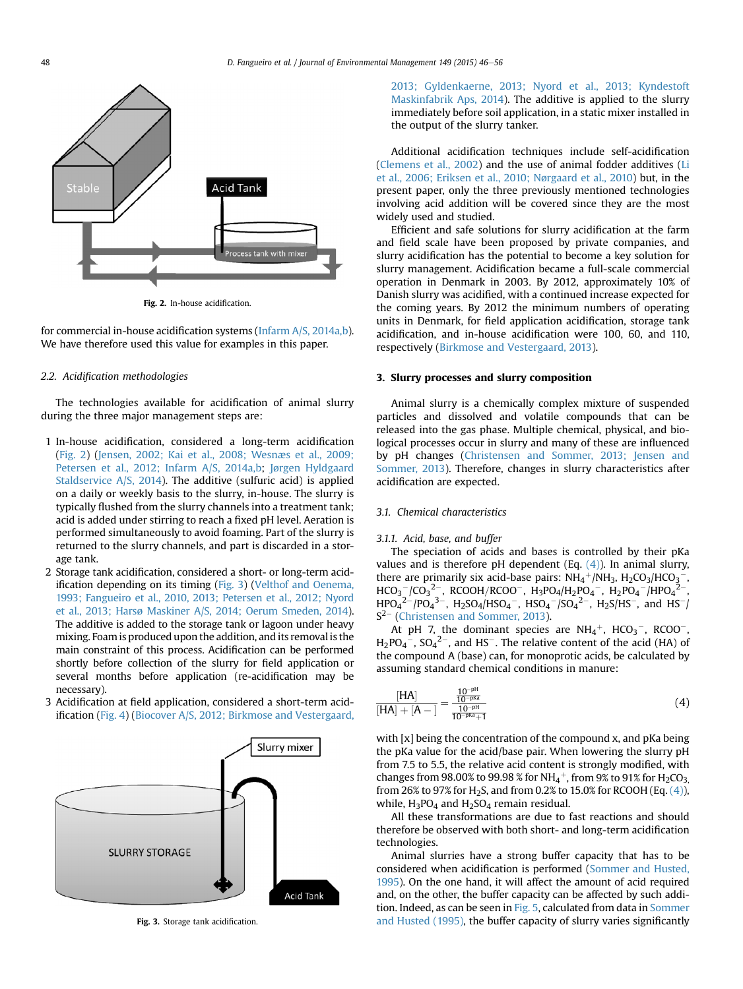<span id="page-2-0"></span>

Fig. 2. In-house acidification.

for commercial in-house acidification systems [\(Infarm A/S, 2014a,b\)](#page-9-0). We have therefore used this value for examples in this paper.

#### 2.2. Acidification methodologies

The technologies available for acidification of animal slurry during the three major management steps are:

- 1 In-house acidification, considered a long-term acidification (Fig. 2) ([Jensen, 2002; Kai et al., 2008; Wesnæs et al., 2009;](#page-9-0) [Petersen et al., 2012; Infarm A/S, 2014a,b;](#page-9-0) [J](#page-9-0)ø[rgen Hyldgaard](#page-9-0) [Staldservice A/S, 2014\)](#page-9-0). The additive (sulfuric acid) is applied on a daily or weekly basis to the slurry, in-house. The slurry is typically flushed from the slurry channels into a treatment tank; acid is added under stirring to reach a fixed pH level. Aeration is performed simultaneously to avoid foaming. Part of the slurry is returned to the slurry channels, and part is discarded in a storage tank.
- 2 Storage tank acidification, considered a short- or long-term acidification depending on its timing (Fig. 3) [\(Velthof and Oenema,](#page-10-0) [1993; Fangueiro et al., 2010, 2013; Petersen et al., 2012; Nyord](#page-10-0) [et al., 2013; Harsø Maskiner A/S, 2014; Oerum Smeden, 2014](#page-10-0)). The additive is added to the storage tank or lagoon under heavy mixing. Foam is produced upon the addition, and its removal is the main constraint of this process. Acidification can be performed shortly before collection of the slurry for field application or several months before application (re-acidification may be necessary).
- 3 Acidification at field application, considered a short-term acidification ([Fig. 4](#page-3-0)) ([Biocover A/S, 2012; Birkmose and Vestergaard,](#page-8-0)



Fig. 3. Storage tank acidification.

[2013; Gyldenkaerne, 2013; Nyord et al., 2013; Kyndestoft](#page-8-0) [Maskinfabrik Aps, 2014\)](#page-8-0). The additive is applied to the slurry immediately before soil application, in a static mixer installed in the output of the slurry tanker.

Additional acidification techniques include self-acidification ([Clemens et al., 2002\)](#page-8-0) and the use of animal fodder additives [\(Li](#page-9-0) [et al., 2006; Eriksen et al., 2010; Nørgaard et al., 2010](#page-9-0)) but, in the present paper, only the three previously mentioned technologies involving acid addition will be covered since they are the most widely used and studied.

Efficient and safe solutions for slurry acidification at the farm and field scale have been proposed by private companies, and slurry acidification has the potential to become a key solution for slurry management. Acidification became a full-scale commercial operation in Denmark in 2003. By 2012, approximately 10% of Danish slurry was acidified, with a continued increase expected for the coming years. By 2012 the minimum numbers of operating units in Denmark, for field application acidification, storage tank acidification, and in-house acidification were 100, 60, and 110, respectively ([Birkmose and Vestergaard, 2013\)](#page-8-0).

#### 3. Slurry processes and slurry composition

Animal slurry is a chemically complex mixture of suspended particles and dissolved and volatile compounds that can be released into the gas phase. Multiple chemical, physical, and biological processes occur in slurry and many of these are influenced by pH changes ([Christensen and Sommer, 2013; Jensen and](#page-8-0) [Sommer, 2013\)](#page-8-0). Therefore, changes in slurry characteristics after acidification are expected.

### 3.1. Chemical characteristics

#### 3.1.1. Acid, base, and buffer

The speciation of acids and bases is controlled by their pKa values and is therefore pH dependent (Eq.  $(4)$ ). In animal slurry, there are primarily six acid-base pairs:  $NH_4^+/NH_3$ ,  $H_2CO_3/HCO_3^-$ ,  $HCO_3^-$ /CO<sub>3</sub><sup>2</sup>-, RCOOH/RCOO<sup>-</sup>, H<sub>3</sub>PO<sub>4</sub>/H<sub>2</sub>PO<sub>4</sub><sup>-</sup>, H<sub>2</sub>PO<sub>4</sub><sup>-</sup>/HPO<sub>4</sub><sup>2-</sup>,  $HPO_4^{2-}/PO_4^{3-}$ ,  $H_2SO_4/HSO_4^-$ ,  $HSO_4^-/SO_4^{2-}$ ,  $H_2S/HS^-$ , and  $HS^-/$  $S^{2-}$  ([Christensen and Sommer, 2013\)](#page-8-0).

At pH 7, the dominant species are  $NH_4^+$ , HCO<sub>3</sub><sup>-</sup>, RCOO<sup>-</sup>,  $H_2PO_4^-$ ,  $SO_4^2^-$ , and HS<sup>-</sup>. The relative content of the acid (HA) of the compound A (base) can, for monoprotic acids, be calculated by assuming standard chemical conditions in manure:

$$
\frac{[HA]}{[HA] + [A-]} = \frac{\frac{10^{-\text{pt}}}{10^{-\text{pt}}}}{\frac{10^{-\text{pt}}}{10^{-\text{pt}} + 1}}
$$
(4)

with [x] being the concentration of the compound x, and pKa being the pKa value for the acid/base pair. When lowering the slurry pH from 7.5 to 5.5, the relative acid content is strongly modified, with changes from 98.00% to 99.98 % for NH $_4^+$ , from 9% to 91% for H $_2$ CO $_3^{\phantom i}$ from 26% to 97% for H<sub>2</sub>S, and from 0.2% to 15.0% for RCOOH (Eq.  $(4)$ ), while,  $H_3PO_4$  and  $H_2SO_4$  remain residual.

All these transformations are due to fast reactions and should therefore be observed with both short- and long-term acidification technologies.

Animal slurries have a strong buffer capacity that has to be considered when acidification is performed ([Sommer and Husted,](#page-9-0) [1995](#page-9-0)). On the one hand, it will affect the amount of acid required and, on the other, the buffer capacity can be affected by such addi-tion. Indeed, as can be seen in [Fig. 5,](#page-3-0) calculated from data in [Sommer](#page-9-0) [and Husted \(1995\),](#page-9-0) the buffer capacity of slurry varies significantly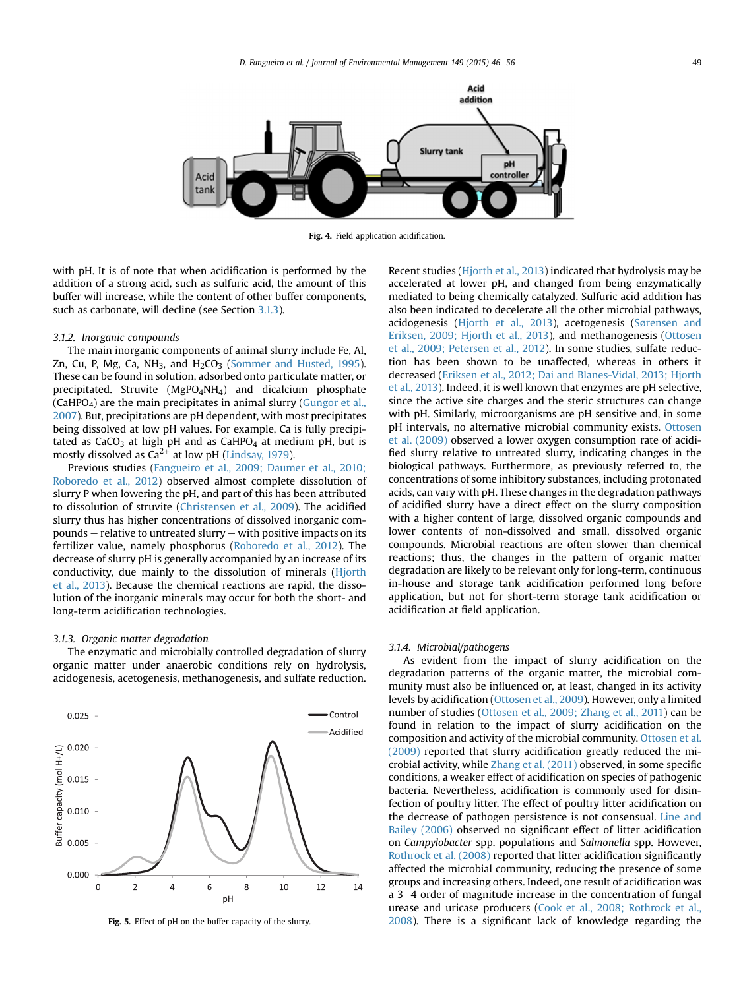<span id="page-3-0"></span>

Fig. 4. Field application acidification.

with pH. It is of note that when acidification is performed by the addition of a strong acid, such as sulfuric acid, the amount of this buffer will increase, while the content of other buffer components, such as carbonate, will decline (see Section 3.1.3).

#### 3.1.2. Inorganic compounds

The main inorganic components of animal slurry include Fe, Al, Zn, Cu, P, Mg, Ca, NH<sub>3</sub>, and H<sub>2</sub>CO<sub>3</sub> [\(Sommer and Husted, 1995\)](#page-9-0). These can be found in solution, adsorbed onto particulate matter, or precipitated. Struvite (MgPO4NH4) and dicalcium phosphate  $(CaHPO<sub>4</sub>)$  are the main precipitates in animal slurry  $(CaHPO<sub>4</sub>)$  are the main precipitates in animal slurry  $(CaHPO<sub>4</sub>)$ [2007\)](#page-9-0). But, precipitations are pH dependent, with most precipitates being dissolved at low pH values. For example, Ca is fully precipitated as  $CaCO<sub>3</sub>$  at high pH and as  $CaHPO<sub>4</sub>$  at medium pH, but is mostly dissolved as  $Ca^{2+}$  at low pH [\(Lindsay, 1979\)](#page-9-0).

Previous studies ([Fangueiro et al., 2009; Daumer et al., 2010;](#page-8-0) [Roboredo et al., 2012\)](#page-8-0) observed almost complete dissolution of slurry P when lowering the pH, and part of this has been attributed to dissolution of struvite ([Christensen et al., 2009\)](#page-8-0). The acidified slurry thus has higher concentrations of dissolved inorganic com $pounds -$  relative to untreated slurry  $-$  with positive impacts on its fertilizer value, namely phosphorus ([Roboredo et al., 2012](#page-9-0)). The decrease of slurry pH is generally accompanied by an increase of its conductivity, due mainly to the dissolution of minerals ([Hjorth](#page-9-0) [et al., 2013\)](#page-9-0). Because the chemical reactions are rapid, the dissolution of the inorganic minerals may occur for both the short- and long-term acidification technologies.

#### 3.1.3. Organic matter degradation

The enzymatic and microbially controlled degradation of slurry organic matter under anaerobic conditions rely on hydrolysis, acidogenesis, acetogenesis, methanogenesis, and sulfate reduction.



Fig. 5. Effect of pH on the buffer capacity of the slurry.

Recent studies [\(Hjorth et al., 2013](#page-9-0)) indicated that hydrolysis may be accelerated at lower pH, and changed from being enzymatically mediated to being chemically catalyzed. Sulfuric acid addition has also been indicated to decelerate all the other microbial pathways, acidogenesis [\(Hjorth et al., 2013](#page-9-0)), acetogenesis ([S](#page-10-0)ø[rensen and](#page-10-0) [Eriksen, 2009; Hjorth et al., 2013](#page-10-0)), and methanogenesis [\(Ottosen](#page-9-0) [et al., 2009; Petersen et al., 2012](#page-9-0)). In some studies, sulfate reduction has been shown to be unaffected, whereas in others it decreased ([Eriksen et al., 2012; Dai and Blanes-Vidal, 2013; Hjorth](#page-8-0) [et al., 2013](#page-8-0)). Indeed, it is well known that enzymes are pH selective, since the active site charges and the steric structures can change with pH. Similarly, microorganisms are pH sensitive and, in some pH intervals, no alternative microbial community exists. [Ottosen](#page-9-0) [et al. \(2009\)](#page-9-0) observed a lower oxygen consumption rate of acidified slurry relative to untreated slurry, indicating changes in the biological pathways. Furthermore, as previously referred to, the concentrations of some inhibitory substances, including protonated acids, can vary with pH. These changes in the degradation pathways of acidified slurry have a direct effect on the slurry composition with a higher content of large, dissolved organic compounds and lower contents of non-dissolved and small, dissolved organic compounds. Microbial reactions are often slower than chemical reactions; thus, the changes in the pattern of organic matter degradation are likely to be relevant only for long-term, continuous in-house and storage tank acidification performed long before application, but not for short-term storage tank acidification or acidification at field application.

#### 3.1.4. Microbial/pathogens

As evident from the impact of slurry acidification on the degradation patterns of the organic matter, the microbial community must also be influenced or, at least, changed in its activity levels by acidification [\(Ottosen et al., 2009\)](#page-9-0). However, only a limited number of studies [\(Ottosen et al., 2009; Zhang et al., 2011](#page-9-0)) can be found in relation to the impact of slurry acidification on the composition and activity of the microbial community. [Ottosen et al.](#page-9-0) [\(2009\)](#page-9-0) reported that slurry acidification greatly reduced the microbial activity, while [Zhang et al. \(2011\)](#page-10-0) observed, in some specific conditions, a weaker effect of acidification on species of pathogenic bacteria. Nevertheless, acidification is commonly used for disinfection of poultry litter. The effect of poultry litter acidification on the decrease of pathogen persistence is not consensual. [Line and](#page-9-0) [Bailey \(2006\)](#page-9-0) observed no significant effect of litter acidification on Campylobacter spp. populations and Salmonella spp. However, [Rothrock et al. \(2008\)](#page-9-0) reported that litter acidification significantly affected the microbial community, reducing the presence of some groups and increasing others. Indeed, one result of acidification was a 3-4 order of magnitude increase in the concentration of fungal urease and uricase producers ([Cook et al., 2008; Rothrock et al.,](#page-8-0) [2008\)](#page-8-0). There is a significant lack of knowledge regarding the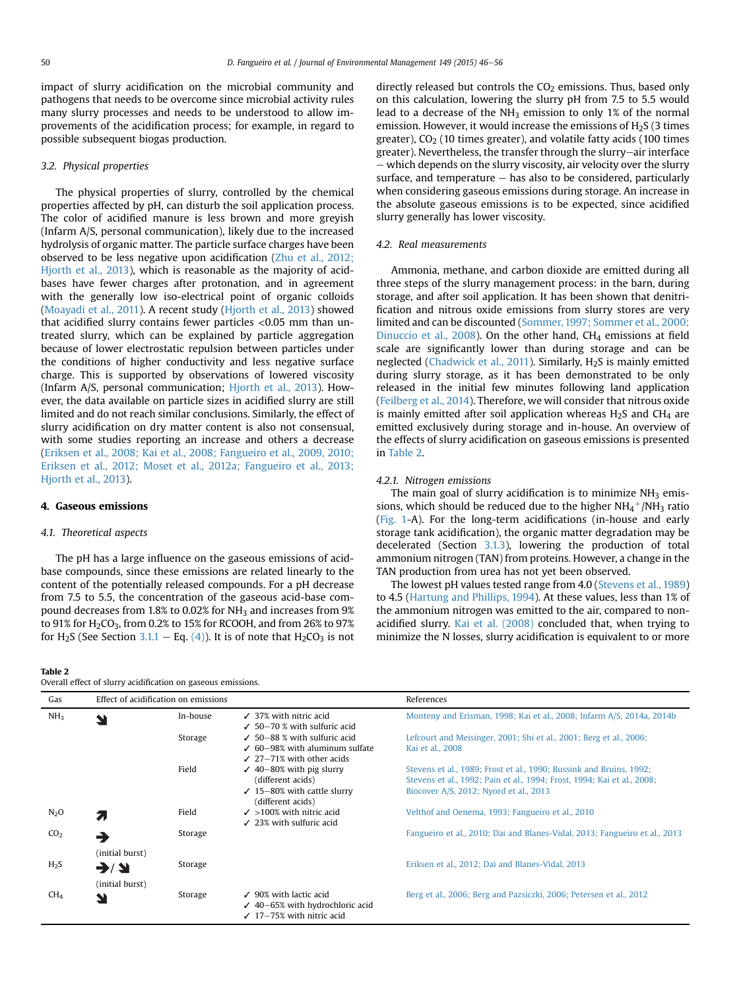<span id="page-4-0"></span>impact of slurry acidification on the microbial community and pathogens that needs to be overcome since microbial activity rules many slurry processes and needs to be understood to allow improvements of the acidification process; for example, in regard to possible subsequent biogas production.

#### 3.2. Physical properties

The physical properties of slurry, controlled by the chemical properties affected by pH, can disturb the soil application process. The color of acidified manure is less brown and more greyish (Infarm A/S, personal communication), likely due to the increased hydrolysis of organic matter. The particle surface charges have been observed to be less negative upon acidification ([Zhu et al., 2012;](#page-10-0) [Hjorth et al., 2013\)](#page-10-0), which is reasonable as the majority of acidbases have fewer charges after protonation, and in agreement with the generally low iso-electrical point of organic colloids ([Moayadi et al., 2011\)](#page-9-0). A recent study [\(Hjorth et al., 2013\)](#page-9-0) showed that acidified slurry contains fewer particles  $<$ 0.05 mm than untreated slurry, which can be explained by particle aggregation because of lower electrostatic repulsion between particles under the conditions of higher conductivity and less negative surface charge. This is supported by observations of lowered viscosity (Infarm A/S, personal communication; [Hjorth et al., 2013\)](#page-9-0). However, the data available on particle sizes in acidified slurry are still limited and do not reach similar conclusions. Similarly, the effect of slurry acidification on dry matter content is also not consensual, with some studies reporting an increase and others a decrease ([Eriksen et al., 2008; Kai et al., 2008; Fangueiro et al., 2009, 2010;](#page-8-0) [Eriksen et al., 2012; Moset et al., 2012a; Fangueiro et al., 2013;](#page-8-0) [Hjorth et al., 2013\)](#page-8-0).

#### 4. Gaseous emissions

#### 4.1. Theoretical aspects

The pH has a large influence on the gaseous emissions of acidbase compounds, since these emissions are related linearly to the content of the potentially released compounds. For a pH decrease from 7.5 to 5.5, the concentration of the gaseous acid-base compound decreases from 1.8% to 0.02% for  $NH<sub>3</sub>$  and increases from 9% to  $91\%$  for  $H_2CO_3$ , from 0.2% to  $15\%$  for RCOOH, and from 26% to  $97\%$ for H<sub>2</sub>S (See Section [3.1.1](#page-2-0) – Eq. [\(4\)](#page-2-0)). It is of note that H<sub>2</sub>CO<sub>3</sub> is not

Table 2

directly released but controls the  $CO<sub>2</sub>$  emissions. Thus, based only on this calculation, lowering the slurry pH from 7.5 to 5.5 would lead to a decrease of the NH<sub>3</sub> emission to only 1% of the normal emission. However, it would increase the emissions of  $H_2S$  (3 times greater),  $CO<sub>2</sub>$  (10 times greater), and volatile fatty acids (100 times greater). Nevertheless, the transfer through the slurry-air interface  $-$  which depends on the slurry viscosity, air velocity over the slurry surface, and temperature  $-$  has also to be considered, particularly when considering gaseous emissions during storage. An increase in the absolute gaseous emissions is to be expected, since acidified slurry generally has lower viscosity.

## 4.2. Real measurements

Ammonia, methane, and carbon dioxide are emitted during all three steps of the slurry management process: in the barn, during storage, and after soil application. It has been shown that denitrification and nitrous oxide emissions from slurry stores are very limited and can be discounted [\(Sommer, 1997; Sommer et al., 2000;](#page-9-0) [Dinuccio et al., 2008\)](#page-9-0). On the other hand,  $CH<sub>4</sub>$  emissions at field scale are significantly lower than during storage and can be neglected [\(Chadwick et al., 2011](#page-8-0)). Similarly, H<sub>2</sub>S is mainly emitted during slurry storage, as it has been demonstrated to be only released in the initial few minutes following land application ([Feilberg et al., 2014](#page-9-0)). Therefore, we will consider that nitrous oxide is mainly emitted after soil application whereas  $H_2S$  and CH<sub>4</sub> are emitted exclusively during storage and in-house. An overview of the effects of slurry acidification on gaseous emissions is presented in Table 2.

#### 4.2.1. Nitrogen emissions

The main goal of slurry acidification is to minimize  $NH<sub>3</sub>$  emissions, which should be reduced due to the higher  $NH_4^+/NH_3$  ratio ([Fig. 1](#page-1-0)-A). For the long-term acidifications (in-house and early storage tank acidification), the organic matter degradation may be decelerated (Section [3.1.3](#page-3-0)), lowering the production of total ammonium nitrogen (TAN) from proteins. However, a change in the TAN production from urea has not yet been observed.

The lowest pH values tested range from 4.0 ([Stevens et al., 1989\)](#page-10-0) to 4.5 ([Hartung and Phillips, 1994\)](#page-9-0). At these values, less than 1% of the ammonium nitrogen was emitted to the air, compared to nonacidified slurry. [Kai et al. \(2008\)](#page-9-0) concluded that, when trying to minimize the N losses, slurry acidification is equivalent to or more

| Gas              | Effect of acidification on emissions                              |          |                                                                                                                          | References                                                                                                                                                                               |  |
|------------------|-------------------------------------------------------------------|----------|--------------------------------------------------------------------------------------------------------------------------|------------------------------------------------------------------------------------------------------------------------------------------------------------------------------------------|--|
| NH <sub>3</sub>  | $\blacktriangle$                                                  | In-house | $\angle$ 37% with nitric acid<br>$\angle$ 50-70 % with sulfuric acid                                                     | Monteny and Erisman, 1998; Kai et al., 2008; Infarm A/S, 2014a, 2014b                                                                                                                    |  |
|                  |                                                                   | Storage  | $\checkmark$ 50–88 % with sulfuric acid<br>$\checkmark$ 60–98% with aluminum sulfate<br>$\angle$ 27-71% with other acids | Lefcourt and Meisinger, 2001; Shi et al., 2001; Berg et al., 2006;<br>Kai et al., 2008                                                                                                   |  |
|                  |                                                                   | Field    | $\sqrt{40-80\%}$ with pig slurry<br>(different acids)<br>$\checkmark$ 15–80% with cattle slurry<br>(different acids)     | Stevens et al., 1989; Frost et al., 1990; Bussink and Bruins, 1992;<br>Stevens et al., 1992; Pain et al., 1994; Frost, 1994; Kai et al., 2008;<br>Biocover A/S, 2012; Nyord et al., 2013 |  |
| $N_2O$           | 2.                                                                | Field    | $\checkmark$ >100% with nitric acid<br>$\angle$ 23% with sulfuric acid                                                   | Velthof and Oenema, 1993; Fangueiro et al., 2010                                                                                                                                         |  |
| CO <sub>2</sub>  | →                                                                 | Storage  |                                                                                                                          | Fangueiro et al., 2010; Dai and Blanes-Vidal, 2013; Fangueiro et al., 2013                                                                                                               |  |
| H <sub>2</sub> S | (initial burst)<br>$\rightarrow$ $\rightarrow$<br>(initial burst) | Storage  |                                                                                                                          | Eriksen et al., 2012; Dai and Blanes-Vidal, 2013                                                                                                                                         |  |
| CH <sub>4</sub>  | ₩                                                                 | Storage  | $\checkmark$ 90% with lactic acid<br>$\sqrt{40-65\%}$ with hydrochloric acid<br>$\checkmark$ 17-75% with nitric acid     | Berg et al., 2006; Berg and Pazsiczki, 2006; Petersen et al., 2012                                                                                                                       |  |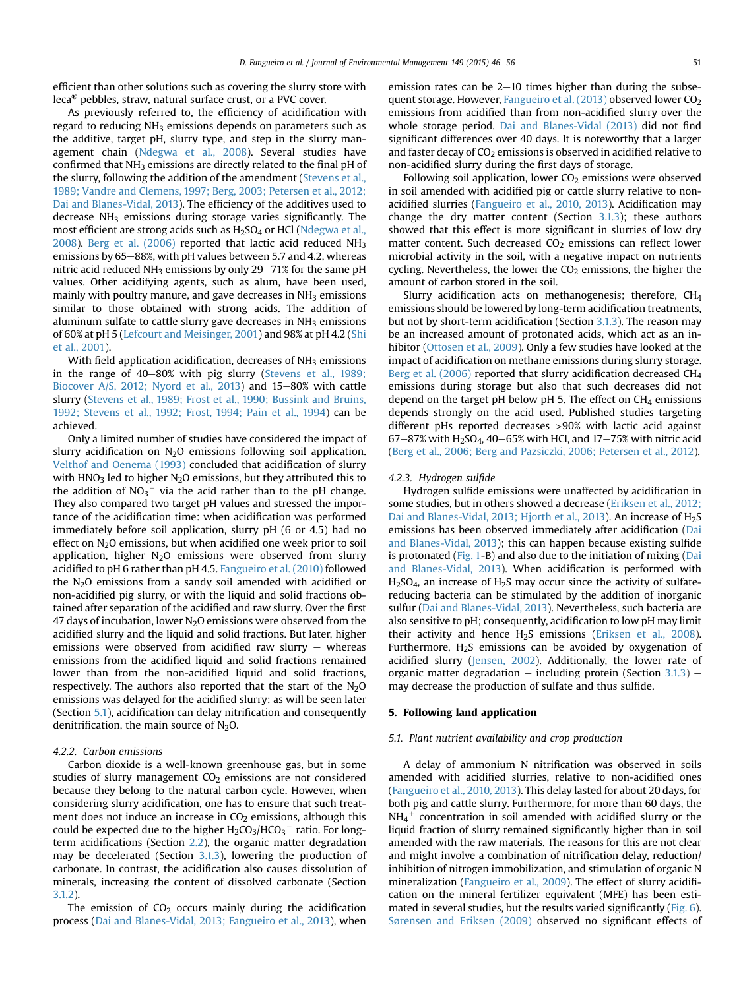efficient than other solutions such as covering the slurry store with leca® pebbles, straw, natural surface crust, or a PVC cover.

As previously referred to, the efficiency of acidification with regard to reducing  $NH<sub>3</sub>$  emissions depends on parameters such as the additive, target pH, slurry type, and step in the slurry management chain [\(Ndegwa et al., 2008](#page-9-0)). Several studies have confirmed that  $NH_3$  emissions are directly related to the final pH of the slurry, following the addition of the amendment [\(Stevens et al.,](#page-10-0) [1989; Vandre and Clemens, 1997; Berg, 2003; Petersen et al., 2012;](#page-10-0) [Dai and Blanes-Vidal, 2013](#page-10-0)). The efficiency of the additives used to decrease NH3 emissions during storage varies significantly. The most efficient are strong acids such as H<sub>2</sub>SO<sub>4</sub> or HCl ([Ndegwa et al.,](#page-9-0) [2008\)](#page-9-0). [Berg et al. \(2006\)](#page-8-0) reported that lactic acid reduced  $NH<sub>3</sub>$ emissions by 65–88%, with pH values between 5.7 and 4.2, whereas nitric acid reduced  $NH<sub>3</sub>$  emissions by only 29–71% for the same pH values. Other acidifying agents, such as alum, have been used, mainly with poultry manure, and gave decreases in  $NH<sub>3</sub>$  emissions similar to those obtained with strong acids. The addition of aluminum sulfate to cattle slurry gave decreases in  $NH<sub>3</sub>$  emissions of 60% at pH 5 [\(Lefcourt and Meisinger, 2001](#page-9-0)) and 98% at pH 4.2 ([Shi](#page-9-0) [et al., 2001](#page-9-0)).

With field application acidification, decreases of  $NH<sub>3</sub>$  emissions in the range of 40-80% with pig slurry ([Stevens et al., 1989;](#page-10-0) [Biocover A/S, 2012; Nyord et al., 2013\)](#page-10-0) and  $15-80\%$  with cattle slurry ([Stevens et al., 1989; Frost et al., 1990; Bussink and Bruins,](#page-10-0) [1992; Stevens et al., 1992; Frost, 1994; Pain et al., 1994](#page-10-0)) can be achieved.

Only a limited number of studies have considered the impact of slurry acidification on N<sub>2</sub>O emissions following soil application. [Velthof and Oenema \(1993\)](#page-10-0) concluded that acidification of slurry with  $HNO<sub>3</sub>$  led to higher  $N<sub>2</sub>O$  emissions, but they attributed this to the addition of  $NO_3^-$  via the acid rather than to the pH change. They also compared two target pH values and stressed the importance of the acidification time: when acidification was performed immediately before soil application, slurry pH (6 or 4.5) had no effect on  $N<sub>2</sub>O$  emissions, but when acidified one week prior to soil application, higher  $N_2O$  emissions were observed from slurry acidified to pH 6 rather than pH 4.5. [Fangueiro et al. \(2010\)](#page-8-0) followed the N2O emissions from a sandy soil amended with acidified or non-acidified pig slurry, or with the liquid and solid fractions obtained after separation of the acidified and raw slurry. Over the first 47 days of incubation, lower  $N_2O$  emissions were observed from the acidified slurry and the liquid and solid fractions. But later, higher emissions were observed from acidified raw slurry  $-$  whereas emissions from the acidified liquid and solid fractions remained lower than from the non-acidified liquid and solid fractions, respectively. The authors also reported that the start of the  $N_2O$ emissions was delayed for the acidified slurry: as will be seen later (Section 5.1), acidification can delay nitrification and consequently denitrification, the main source of  $N_2O$ .

#### 4.2.2. Carbon emissions

Carbon dioxide is a well-known greenhouse gas, but in some studies of slurry management  $CO<sub>2</sub>$  emissions are not considered because they belong to the natural carbon cycle. However, when considering slurry acidification, one has to ensure that such treatment does not induce an increase in  $CO<sub>2</sub>$  emissions, although this could be expected due to the higher  $\rm H_2CO_3/HCO_3^-$  ratio. For longterm acidifications (Section [2.2](#page-2-0)), the organic matter degradation may be decelerated (Section [3.1.3](#page-3-0)), lowering the production of carbonate. In contrast, the acidification also causes dissolution of minerals, increasing the content of dissolved carbonate (Section  $3.1.2$ 

The emission of  $CO<sub>2</sub>$  occurs mainly during the acidification process [\(Dai and Blanes-Vidal, 2013; Fangueiro et al., 2013\)](#page-8-0), when emission rates can be  $2-10$  times higher than during the subsequent storage. However, [Fangueiro et al. \(2013\)](#page-8-0) observed lower CO2 emissions from acidified than from non-acidified slurry over the whole storage period. [Dai and Blanes-Vidal \(2013\)](#page-8-0) did not find significant differences over 40 days. It is noteworthy that a larger and faster decay of  $CO<sub>2</sub>$  emissions is observed in acidified relative to non-acidified slurry during the first days of storage.

Following soil application, lower  $CO<sub>2</sub>$  emissions were observed in soil amended with acidified pig or cattle slurry relative to nonacidified slurries [\(Fangueiro et al., 2010, 2013\)](#page-8-0). Acidification may change the dry matter content (Section [3.1.3\)](#page-3-0); these authors showed that this effect is more significant in slurries of low dry matter content. Such decreased  $CO<sub>2</sub>$  emissions can reflect lower microbial activity in the soil, with a negative impact on nutrients cycling. Nevertheless, the lower the  $CO<sub>2</sub>$  emissions, the higher the amount of carbon stored in the soil.

Slurry acidification acts on methanogenesis; therefore, CH4 emissions should be lowered by long-term acidification treatments, but not by short-term acidification (Section [3.1.3](#page-3-0)). The reason may be an increased amount of protonated acids, which act as an inhibitor [\(Ottosen et al., 2009](#page-9-0)). Only a few studies have looked at the impact of acidification on methane emissions during slurry storage. [Berg et al. \(2006\)](#page-8-0) reported that slurry acidification decreased CH<sub>4</sub> emissions during storage but also that such decreases did not depend on the target pH below pH 5. The effect on  $CH_4$  emissions depends strongly on the acid used. Published studies targeting different pHs reported decreases >90% with lactic acid against  $67-87%$  with H<sub>2</sub>SO<sub>4</sub>, 40-65% with HCl, and  $17-75%$  with nitric acid ([Berg et al., 2006; Berg and Pazsiczki, 2006; Petersen et al., 2012](#page-8-0)).

#### 4.2.3. Hydrogen sulfide

Hydrogen sulfide emissions were unaffected by acidification in some studies, but in others showed a decrease ([Eriksen et al., 2012;](#page-8-0) [Dai and Blanes-Vidal, 2013; Hjorth et al., 2013](#page-8-0)). An increase of H<sub>2</sub>S emissions has been observed immediately after acidification [\(Dai](#page-8-0) [and Blanes-Vidal, 2013\)](#page-8-0); this can happen because existing sulfide is protonated [\(Fig. 1-](#page-1-0)B) and also due to the initiation of mixing [\(Dai](#page-8-0) [and Blanes-Vidal, 2013\)](#page-8-0). When acidification is performed with  $H<sub>2</sub>SO<sub>4</sub>$ , an increase of  $H<sub>2</sub>S$  may occur since the activity of sulfatereducing bacteria can be stimulated by the addition of inorganic sulfur ([Dai and Blanes-Vidal, 2013\)](#page-8-0). Nevertheless, such bacteria are also sensitive to pH; consequently, acidification to low pH may limit their activity and hence  $H_2S$  emissions ([Eriksen et al., 2008\)](#page-8-0). Furthermore, H<sub>2</sub>S emissions can be avoided by oxygenation of acidified slurry ([Jensen, 2002](#page-9-0)). Additionally, the lower rate of organic matter degradation  $-$  including protein (Section [3.1.3](#page-3-0))  $$ may decrease the production of sulfate and thus sulfide.

#### 5. Following land application

#### 5.1. Plant nutrient availability and crop production

A delay of ammonium N nitrification was observed in soils amended with acidified slurries, relative to non-acidified ones ([Fangueiro et al., 2010, 2013\)](#page-8-0). This delay lasted for about 20 days, for both pig and cattle slurry. Furthermore, for more than 60 days, the  $NH_4^+$  concentration in soil amended with acidified slurry or the liquid fraction of slurry remained significantly higher than in soil amended with the raw materials. The reasons for this are not clear and might involve a combination of nitrification delay, reduction/ inhibition of nitrogen immobilization, and stimulation of organic N mineralization [\(Fangueiro et al., 2009](#page-8-0)). The effect of slurry acidification on the mineral fertilizer equivalent (MFE) has been estimated in several studies, but the results varied significantly [\(Fig. 6\)](#page-6-0). [Sørensen and Eriksen \(2009\)](#page-10-0) observed no significant effects of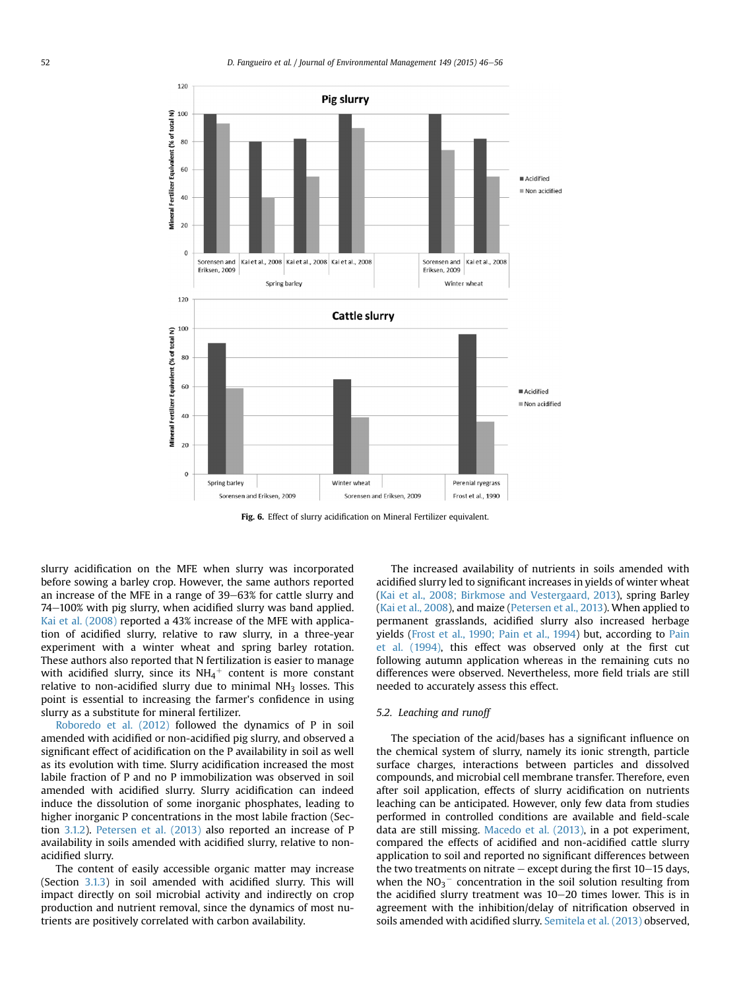<span id="page-6-0"></span>

Fig. 6. Effect of slurry acidification on Mineral Fertilizer equivalent.

slurry acidification on the MFE when slurry was incorporated before sowing a barley crop. However, the same authors reported an increase of the MFE in a range of 39–63% for cattle slurry and  $74-100\%$  with pig slurry, when acidified slurry was band applied. [Kai et al. \(2008\)](#page-9-0) reported a 43% increase of the MFE with application of acidified slurry, relative to raw slurry, in a three-year experiment with a winter wheat and spring barley rotation. These authors also reported that N fertilization is easier to manage with acidified slurry, since its  $NH_4^+$  content is more constant relative to non-acidified slurry due to minimal  $NH<sub>3</sub>$  losses. This point is essential to increasing the farmer's confidence in using slurry as a substitute for mineral fertilizer.

[Roboredo et al. \(2012\)](#page-9-0) followed the dynamics of P in soil amended with acidified or non-acidified pig slurry, and observed a significant effect of acidification on the P availability in soil as well as its evolution with time. Slurry acidification increased the most labile fraction of P and no P immobilization was observed in soil amended with acidified slurry. Slurry acidification can indeed induce the dissolution of some inorganic phosphates, leading to higher inorganic P concentrations in the most labile fraction (Section [3.1.2](#page-3-0)). [Petersen et al. \(2013\)](#page-9-0) also reported an increase of P availability in soils amended with acidified slurry, relative to nonacidified slurry.

The content of easily accessible organic matter may increase (Section [3.1.3\)](#page-3-0) in soil amended with acidified slurry. This will impact directly on soil microbial activity and indirectly on crop production and nutrient removal, since the dynamics of most nutrients are positively correlated with carbon availability.

The increased availability of nutrients in soils amended with acidified slurry led to significant increases in yields of winter wheat ([Kai et al., 2008; Birkmose and Vestergaard, 2013](#page-9-0)), spring Barley ([Kai et al., 2008](#page-9-0)), and maize ([Petersen et al., 2013\)](#page-9-0). When applied to permanent grasslands, acidified slurry also increased herbage yields [\(Frost et al., 1990; Pain et al., 1994\)](#page-9-0) but, according to [Pain](#page-9-0) [et al. \(1994\)](#page-9-0), this effect was observed only at the first cut following autumn application whereas in the remaining cuts no differences were observed. Nevertheless, more field trials are still needed to accurately assess this effect.

#### 5.2. Leaching and runoff

The speciation of the acid/bases has a significant influence on the chemical system of slurry, namely its ionic strength, particle surface charges, interactions between particles and dissolved compounds, and microbial cell membrane transfer. Therefore, even after soil application, effects of slurry acidification on nutrients leaching can be anticipated. However, only few data from studies performed in controlled conditions are available and field-scale data are still missing. [Macedo et al. \(2013\)](#page-9-0), in a pot experiment, compared the effects of acidified and non-acidified cattle slurry application to soil and reported no significant differences between the two treatments on nitrate  $-$  except during the first  $10-15$  days, when the  $NO<sub>3</sub><sup>-</sup>$  concentration in the soil solution resulting from the acidified slurry treatment was  $10-20$  times lower. This is in agreement with the inhibition/delay of nitrification observed in soils amended with acidified slurry. [Semitela et al. \(2013\)](#page-9-0) observed,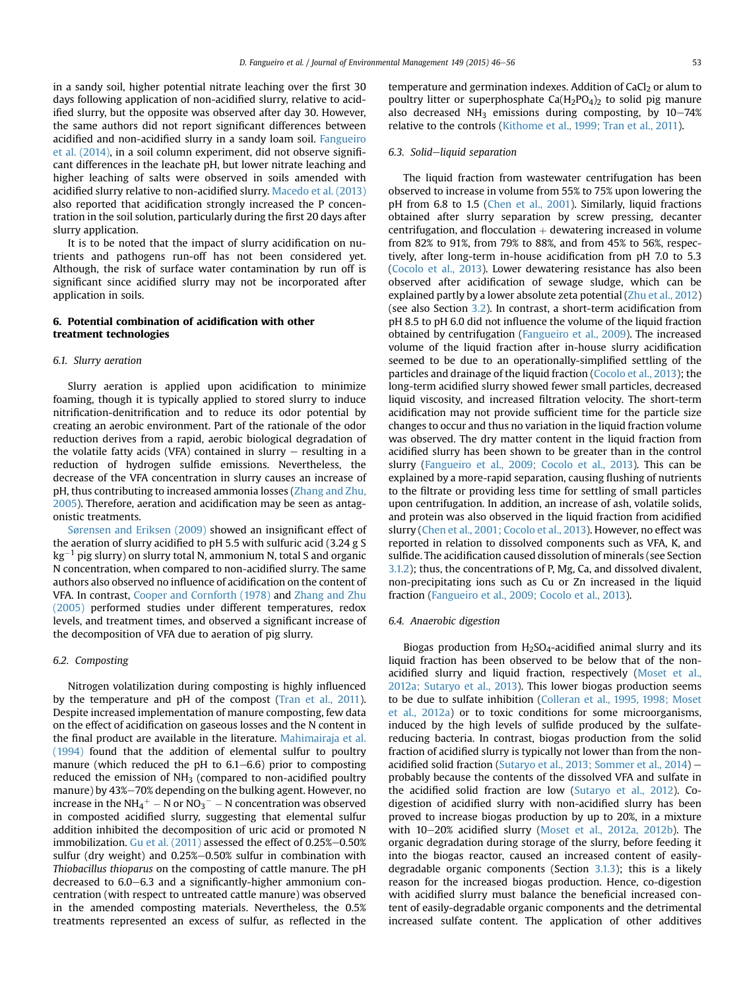in a sandy soil, higher potential nitrate leaching over the first 30 days following application of non-acidified slurry, relative to acidified slurry, but the opposite was observed after day 30. However, the same authors did not report significant differences between acidified and non-acidified slurry in a sandy loam soil. [Fangueiro](#page-8-0) [et al. \(2014\)](#page-8-0), in a soil column experiment, did not observe significant differences in the leachate pH, but lower nitrate leaching and higher leaching of salts were observed in soils amended with acidified slurry relative to non-acidified slurry. [Macedo et al. \(2013\)](#page-9-0) also reported that acidification strongly increased the P concentration in the soil solution, particularly during the first 20 days after slurry application.

It is to be noted that the impact of slurry acidification on nutrients and pathogens run-off has not been considered yet. Although, the risk of surface water contamination by run off is significant since acidified slurry may not be incorporated after application in soils.

### 6. Potential combination of acidification with other treatment technologies

#### 6.1. Slurry aeration

Slurry aeration is applied upon acidification to minimize foaming, though it is typically applied to stored slurry to induce nitrification-denitrification and to reduce its odor potential by creating an aerobic environment. Part of the rationale of the odor reduction derives from a rapid, aerobic biological degradation of the volatile fatty acids (VFA) contained in slurry  $-$  resulting in a reduction of hydrogen sulfide emissions. Nevertheless, the decrease of the VFA concentration in slurry causes an increase of pH, thus contributing to increased ammonia losses [\(Zhang and Zhu,](#page-10-0) [2005\)](#page-10-0). Therefore, aeration and acidification may be seen as antagonistic treatments.

[Sørensen and Eriksen \(2009\)](#page-10-0) showed an insignificant effect of the aeration of slurry acidified to pH 5.5 with sulfuric acid (3.24 g S kg $^{-1}$  pig slurry) on slurry total N, ammonium N, total S and organic N concentration, when compared to non-acidified slurry. The same authors also observed no influence of acidification on the content of VFA. In contrast, [Cooper and Cornforth \(1978\)](#page-8-0) and [Zhang and Zhu](#page-10-0) [\(2005\)](#page-10-0) performed studies under different temperatures, redox levels, and treatment times, and observed a significant increase of the decomposition of VFA due to aeration of pig slurry.

#### 6.2. Composting

Nitrogen volatilization during composting is highly influenced by the temperature and pH of the compost ([Tran et al., 2011\)](#page-10-0). Despite increased implementation of manure composting, few data on the effect of acidification on gaseous losses and the N content in the final product are available in the literature. [Mahimairaja et al.](#page-9-0) [\(1994\)](#page-9-0) found that the addition of elemental sulfur to poultry manure (which reduced the pH to  $6.1-6.6$ ) prior to composting reduced the emission of  $NH<sub>3</sub>$  (compared to non-acidified poultry manure) by 43%-70% depending on the bulking agent. However, no increase in the NH<sub>4</sub><sup>+</sup> – N or NO<sub>3</sub><sup>-</sup> – N concentration was observed in composted acidified slurry, suggesting that elemental sulfur addition inhibited the decomposition of uric acid or promoted N immobilization. Gu et al.  $(2011)$  assessed the effect of  $0.25\%$ -0.50% sulfur (dry weight) and  $0.25\% -0.50\%$  sulfur in combination with Thiobacillus thioparus on the composting of cattle manure. The pH decreased to 6.0–6.3 and a significantly-higher ammonium concentration (with respect to untreated cattle manure) was observed in the amended composting materials. Nevertheless, the 0.5% treatments represented an excess of sulfur, as reflected in the temperature and germination indexes. Addition of CaCl<sub>2</sub> or alum to poultry litter or superphosphate  $Ca(H_2PO_4)_2$  to solid pig manure also decreased NH<sub>3</sub> emissions during composting, by  $10-74%$ relative to the controls [\(Kithome et al., 1999; Tran et al., 2011\)](#page-9-0).

#### 6.3. Solid-liquid separation

The liquid fraction from wastewater centrifugation has been observed to increase in volume from 55% to 75% upon lowering the pH from 6.8 to 1.5 [\(Chen et al., 2001\)](#page-8-0). Similarly, liquid fractions obtained after slurry separation by screw pressing, decanter centrifugation, and flocculation  $+$  dewatering increased in volume from 82% to 91%, from 79% to 88%, and from 45% to 56%, respectively, after long-term in-house acidification from pH 7.0 to 5.3 ([Cocolo et al., 2013](#page-8-0)). Lower dewatering resistance has also been observed after acidification of sewage sludge, which can be explained partly by a lower absolute zeta potential ([Zhu et al., 2012\)](#page-10-0) (see also Section [3.2\)](#page-4-0). In contrast, a short-term acidification from pH 8.5 to pH 6.0 did not influence the volume of the liquid fraction obtained by centrifugation ([Fangueiro et al., 2009\)](#page-8-0). The increased volume of the liquid fraction after in-house slurry acidification seemed to be due to an operationally-simplified settling of the particles and drainage of the liquid fraction [\(Cocolo et al., 2013\)](#page-8-0); the long-term acidified slurry showed fewer small particles, decreased liquid viscosity, and increased filtration velocity. The short-term acidification may not provide sufficient time for the particle size changes to occur and thus no variation in the liquid fraction volume was observed. The dry matter content in the liquid fraction from acidified slurry has been shown to be greater than in the control slurry ([Fangueiro et al., 2009; Cocolo et al., 2013\)](#page-8-0). This can be explained by a more-rapid separation, causing flushing of nutrients to the filtrate or providing less time for settling of small particles upon centrifugation. In addition, an increase of ash, volatile solids, and protein was also observed in the liquid fraction from acidified slurry [\(Chen et al., 2001; Cocolo et al., 2013](#page-8-0)). However, no effect was reported in relation to dissolved components such as VFA, K, and sulfide. The acidification caused dissolution of minerals (see Section [3.1.2](#page-3-0)); thus, the concentrations of P, Mg, Ca, and dissolved divalent, non-precipitating ions such as Cu or Zn increased in the liquid fraction [\(Fangueiro et al., 2009; Cocolo et al., 2013\)](#page-8-0).

#### 6.4. Anaerobic digestion

Biogas production from  $H_2SO_4$ -acidified animal slurry and its liquid fraction has been observed to be below that of the nonacidified slurry and liquid fraction, respectively [\(Moset et al.,](#page-9-0) [2012a; Sutaryo et al., 2013\)](#page-9-0). This lower biogas production seems to be due to sulfate inhibition [\(Colleran et al., 1995, 1998; Moset](#page-8-0) [et al., 2012a\)](#page-8-0) or to toxic conditions for some microorganisms, induced by the high levels of sulfide produced by the sulfatereducing bacteria. In contrast, biogas production from the solid fraction of acidified slurry is typically not lower than from the non-acidified solid fraction [\(Sutaryo et al., 2013; Sommer et al., 2014](#page-10-0))  $$ probably because the contents of the dissolved VFA and sulfate in the acidified solid fraction are low ([Sutaryo et al., 2012\)](#page-10-0). Codigestion of acidified slurry with non-acidified slurry has been proved to increase biogas production by up to 20%, in a mixture with 10-20% acidified slurry [\(Moset et al., 2012a, 2012b](#page-9-0)). The organic degradation during storage of the slurry, before feeding it into the biogas reactor, caused an increased content of easilydegradable organic components (Section [3.1.3\)](#page-3-0); this is a likely reason for the increased biogas production. Hence, co-digestion with acidified slurry must balance the beneficial increased content of easily-degradable organic components and the detrimental increased sulfate content. The application of other additives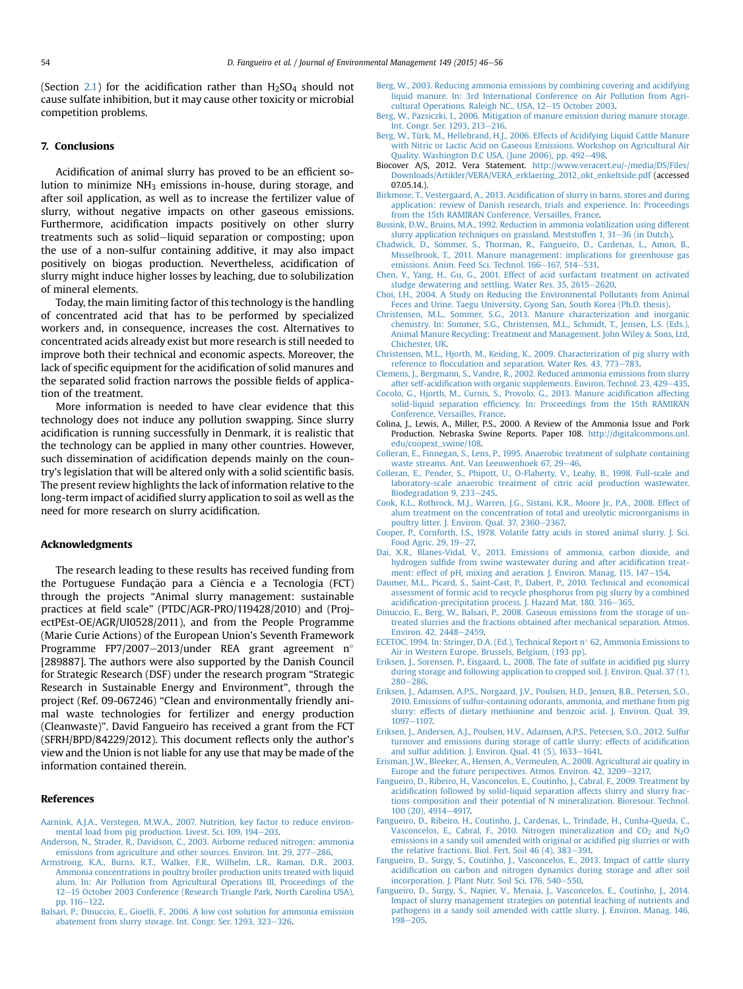<span id="page-8-0"></span>(Section [2.1](#page-1-0)) for the acidification rather than  $H_2SO_4$  should not cause sulfate inhibition, but it may cause other toxicity or microbial competition problems.

### 7. Conclusions

Acidification of animal slurry has proved to be an efficient solution to minimize  $NH_3$  emissions in-house, during storage, and after soil application, as well as to increase the fertilizer value of slurry, without negative impacts on other gaseous emissions. Furthermore, acidification impacts positively on other slurry treatments such as solid-liquid separation or composting; upon the use of a non-sulfur containing additive, it may also impact positively on biogas production. Nevertheless, acidification of slurry might induce higher losses by leaching, due to solubilization of mineral elements.

Today, the main limiting factor of this technology is the handling of concentrated acid that has to be performed by specialized workers and, in consequence, increases the cost. Alternatives to concentrated acids already exist but more research is still needed to improve both their technical and economic aspects. Moreover, the lack of specific equipment for the acidification of solid manures and the separated solid fraction narrows the possible fields of application of the treatment.

More information is needed to have clear evidence that this technology does not induce any pollution swapping. Since slurry acidification is running successfully in Denmark, it is realistic that the technology can be applied in many other countries. However, such dissemination of acidification depends mainly on the country's legislation that will be altered only with a solid scientific basis. The present review highlights the lack of information relative to the long-term impact of acidified slurry application to soil as well as the need for more research on slurry acidification.

#### Acknowledgments

The research leading to these results has received funding from the Portuguese Fundação para a Ciência e a Tecnologia (FCT) through the projects "Animal slurry management: sustainable practices at field scale" (PTDC/AGR-PRO/119428/2010) and (ProjectPEst-OE/AGR/UI0528/2011), and from the People Programme (Marie Curie Actions) of the European Union's Seventh Framework Programme FP7/2007-2013/under REA grant agreement n° [289887]. The authors were also supported by the Danish Council for Strategic Research (DSF) under the research program "Strategic Research in Sustainable Energy and Environment", through the project (Ref. 09-067246) "Clean and environmentally friendly animal waste technologies for fertilizer and energy production (Cleanwaste)". David Fangueiro has received a grant from the FCT (SFRH/BPD/84229/2012). This document reflects only the author's view and the Union is not liable for any use that may be made of the information contained therein.

#### References

- [Aarnink, A.J.A., Verstegen, M.W.A., 2007. Nutrition, key factor to reduce environ](http://refhub.elsevier.com/S0301-4797(14)00484-8/sref1)[mental load from pig production. Livest. Sci. 109, 194](http://refhub.elsevier.com/S0301-4797(14)00484-8/sref1)-[203](http://refhub.elsevier.com/S0301-4797(14)00484-8/sref1).
- [Anderson, N., Strader, R., Davidson, C., 2003. Airborne reduced nitrogen: ammonia](http://refhub.elsevier.com/S0301-4797(14)00484-8/sref2) [emissions from agriculture and other sources. Environ. Int. 29, 277](http://refhub.elsevier.com/S0301-4797(14)00484-8/sref2)-[286](http://refhub.elsevier.com/S0301-4797(14)00484-8/sref2).
- [Armstrong, K.A., Burns, R.T., Walker, F.R., Wilhelm, L.R., Raman, D.R., 2003.](http://refhub.elsevier.com/S0301-4797(14)00484-8/sref3) [Ammonia concentrations in poultry broiler production units treated with liquid](http://refhub.elsevier.com/S0301-4797(14)00484-8/sref3) [alum. In: Air Pollution from Agricultural Operations III, Proceedings of the](http://refhub.elsevier.com/S0301-4797(14)00484-8/sref3) [12](http://refhub.elsevier.com/S0301-4797(14)00484-8/sref3)-[15 October 2003 Conference \(Research Triangle Park, North Carolina USA\),](http://refhub.elsevier.com/S0301-4797(14)00484-8/sref3) [pp. 116](http://refhub.elsevier.com/S0301-4797(14)00484-8/sref3)-[122](http://refhub.elsevier.com/S0301-4797(14)00484-8/sref3).
- [Balsari, P., Dinuccio, E., Gioelli, F., 2006. A low cost solution for ammonia emission](http://refhub.elsevier.com/S0301-4797(14)00484-8/sref4) [abatement from slurry storage. Int. Congr. Ser. 1293, 323](http://refhub.elsevier.com/S0301-4797(14)00484-8/sref4)-[326.](http://refhub.elsevier.com/S0301-4797(14)00484-8/sref4)
- [Berg, W., 2003. Reducing ammonia emissions by combining covering and acidifying](http://refhub.elsevier.com/S0301-4797(14)00484-8/sref5) [liquid manure. In: 3rd International Conference on Air Pollution from Agri](http://refhub.elsevier.com/S0301-4797(14)00484-8/sref5)[cultural Operations. Raleigh NC., USA, 12](http://refhub.elsevier.com/S0301-4797(14)00484-8/sref5)-[15 October 2003](http://refhub.elsevier.com/S0301-4797(14)00484-8/sref5).
- [Berg, W., Pazsiczki, I., 2006. Mitigation of manure emission during manure storage.](http://refhub.elsevier.com/S0301-4797(14)00484-8/sref6) [Int. Congr. Ser. 1293, 213](http://refhub.elsevier.com/S0301-4797(14)00484-8/sref6)-[216.](http://refhub.elsevier.com/S0301-4797(14)00484-8/sref6)
- [Berg, W., Türk, M., Hellebrand, H.J., 2006. Effects of Acidifying Liquid Cattle Manure](http://refhub.elsevier.com/S0301-4797(14)00484-8/sref7) [with Nitric or Lactic Acid on Gaseous Emissions. Workshop on Agricultural Air](http://refhub.elsevier.com/S0301-4797(14)00484-8/sref7) [Quality. Washington D.C USA, \(June 2006\), pp. 492](http://refhub.elsevier.com/S0301-4797(14)00484-8/sref7)-[498](http://refhub.elsevier.com/S0301-4797(14)00484-8/sref7).
- Biocover A/S, 2012. Vera Statement. [http://www.veracert.eu/-/media/DS/Files/](http://www.veracert.eu/-/media/DS/Files/Downloads/Artikler/VERA/VERA_erklaering_2012_okt_enkeltside.pdf) [Downloads/Artikler/VERA/VERA\\_erklaering\\_2012\\_okt\\_enkeltside.pdf](http://www.veracert.eu/-/media/DS/Files/Downloads/Artikler/VERA/VERA_erklaering_2012_okt_enkeltside.pdf) (accessed 07.05.14.).
- Birkmose, T., Vestergaard, A., 2013. Acidifi[cation of slurry in barns, stores and during](http://refhub.elsevier.com/S0301-4797(14)00484-8/sref9) [application: review of Danish research, trials and experience. In: Proceedings](http://refhub.elsevier.com/S0301-4797(14)00484-8/sref9) [from the 15th RAMIRAN Conference, Versailles, France](http://refhub.elsevier.com/S0301-4797(14)00484-8/sref9).
- [Bussink, D.W., Bruins, M.A., 1992. Reduction in ammonia volatilization using different](http://refhub.elsevier.com/S0301-4797(14)00484-8/sref10) [slurry application techniques on grassland. Meststoffen 1, 31](http://refhub.elsevier.com/S0301-4797(14)00484-8/sref10)-[36 \(in Dutch\).](http://refhub.elsevier.com/S0301-4797(14)00484-8/sref10)
- Chadwick, D., Sommer, S., Thorman, R., Fangueiro, D., Cardenas, L., Amon, B. [Misselbrook, T., 2011. Manure management: implications for greenhouse gas](http://refhub.elsevier.com/S0301-4797(14)00484-8/sref11) [emissions. Anim. Feed Sci. Technol. 166](http://refhub.elsevier.com/S0301-4797(14)00484-8/sref11)-[167, 514](http://refhub.elsevier.com/S0301-4797(14)00484-8/sref11)-[531.](http://refhub.elsevier.com/S0301-4797(14)00484-8/sref11)
- [Chen, Y., Yang, H., Gu, G., 2001. Effect of acid surfactant treatment on activated](http://refhub.elsevier.com/S0301-4797(14)00484-8/sref12) [sludge dewatering and settling. Water Res. 35, 2615](http://refhub.elsevier.com/S0301-4797(14)00484-8/sref12)-[2620.](http://refhub.elsevier.com/S0301-4797(14)00484-8/sref12)
- [Choi, I.H., 2004. A Study on Reducing the Environmental Pollutants from Animal](http://refhub.elsevier.com/S0301-4797(14)00484-8/sref13) [Feces and Urine. Taegu University, Gyong San, South Korea \(Ph.D. thesis\).](http://refhub.elsevier.com/S0301-4797(14)00484-8/sref13)
- [Christensen, M.L., Sommer, S.G., 2013. Manure characterization and inorganic](http://refhub.elsevier.com/S0301-4797(14)00484-8/sref14) [chemistry. In: Sommer, S.G., Christensen, M.L., Schmidt, T., Jensen, L.S. \(Eds.\),](http://refhub.elsevier.com/S0301-4797(14)00484-8/sref14) [Animal Manure Recycling: Treatment and Management. John Wiley](http://refhub.elsevier.com/S0301-4797(14)00484-8/sref14) & [Sons, Ltd,](http://refhub.elsevier.com/S0301-4797(14)00484-8/sref14) [Chichester, UK.](http://refhub.elsevier.com/S0301-4797(14)00484-8/sref14)
- [Christensen, M.L., Hjorth, M., Keiding, K., 2009. Characterization of pig slurry with](http://refhub.elsevier.com/S0301-4797(14)00484-8/sref15) reference to fl[occulation and separation. Water Res. 43, 773](http://refhub.elsevier.com/S0301-4797(14)00484-8/sref15)-[783.](http://refhub.elsevier.com/S0301-4797(14)00484-8/sref15)
- [Clemens, J., Bergmann, S., Vandre, R., 2002. Reduced ammonia emissions from slurry](http://refhub.elsevier.com/S0301-4797(14)00484-8/sref16) after self-acidifi[cation with organic supplements. Environ. Technol. 23, 429](http://refhub.elsevier.com/S0301-4797(14)00484-8/sref16)-[435](http://refhub.elsevier.com/S0301-4797(14)00484-8/sref16).
- [Cocolo, G., Hjorth, M., Curnis, S., Provolo, G., 2013. Manure acidi](http://refhub.elsevier.com/S0301-4797(14)00484-8/sref17)fication affecting solid-liquid separation effi[ciency. In: Proceedings from the 15th RAMIRAN](http://refhub.elsevier.com/S0301-4797(14)00484-8/sref17) [Conference, Versailles, France.](http://refhub.elsevier.com/S0301-4797(14)00484-8/sref17)
- Colina, J., Lewis, A., Miller, P.S., 2000. A Review of the Ammonia Issue and Pork Production. Nebraska Swine Reports. Paper 108. [http://digitalcommons.unl.](http://digitalcommons.unl.edu/coopext_swine/108) [edu/coopext\\_swine/108.](http://digitalcommons.unl.edu/coopext_swine/108)
- [Colleran, E., Finnegan, S., Lens, P., 1995. Anaerobic treatment of sulphate containing](http://refhub.elsevier.com/S0301-4797(14)00484-8/sref19) [waste streams. Ant. Van Leeuwenhoek 67, 29](http://refhub.elsevier.com/S0301-4797(14)00484-8/sref19)-[46.](http://refhub.elsevier.com/S0301-4797(14)00484-8/sref19)
- [Colleran, E., Pender, S., Phipott, U., O-Flaherty, V., Leahy, B., 1998. Full-scale and](http://refhub.elsevier.com/S0301-4797(14)00484-8/sref20) [laboratory-scale anaerobic treatment of citric acid production wastewater.](http://refhub.elsevier.com/S0301-4797(14)00484-8/sref20) [Biodegradation 9, 233](http://refhub.elsevier.com/S0301-4797(14)00484-8/sref20)-[245](http://refhub.elsevier.com/S0301-4797(14)00484-8/sref20).
- [Cook, K.L., Rothrock, M.J., Warren, J.G., Sistani, K.R., Moore Jr., P.A., 2008. Effect of](http://refhub.elsevier.com/S0301-4797(14)00484-8/sref21) [alum treatment on the concentration of total and ureolytic microorganisms in](http://refhub.elsevier.com/S0301-4797(14)00484-8/sref21) [poultry litter. J. Environ. Qual. 37, 2360](http://refhub.elsevier.com/S0301-4797(14)00484-8/sref21)-[2367.](http://refhub.elsevier.com/S0301-4797(14)00484-8/sref21)
- [Cooper, P., Cornforth, I.S., 1978. Volatile fatty acids in stored animal slurry. J. Sci.](http://refhub.elsevier.com/S0301-4797(14)00484-8/sref22) [Food Agric. 29, 19](http://refhub.elsevier.com/S0301-4797(14)00484-8/sref22)-[27.](http://refhub.elsevier.com/S0301-4797(14)00484-8/sref22)
- [Dai, X.R., Blanes-Vidal, V., 2013. Emissions of ammonia, carbon dioxide, and](http://refhub.elsevier.com/S0301-4797(14)00484-8/sref23) hydrogen sulfi[de from swine wastewater during and after acidi](http://refhub.elsevier.com/S0301-4797(14)00484-8/sref23)fication treat[ment: effect of pH, mixing and aeration. J. Environ. Manag. 115, 147](http://refhub.elsevier.com/S0301-4797(14)00484-8/sref23)-[154.](http://refhub.elsevier.com/S0301-4797(14)00484-8/sref23)
- [Daumer, M.L., Picard, S., Saint-Cast, P., Dabert, P., 2010. Technical and economical](http://refhub.elsevier.com/S0301-4797(14)00484-8/sref24) [assessment of formic acid to recycle phosphorus from pig slurry by a combined](http://refhub.elsevier.com/S0301-4797(14)00484-8/sref24) acidifi[cation-precipitation process. J. Hazard Mat. 180, 316](http://refhub.elsevier.com/S0301-4797(14)00484-8/sref24)-[365.](http://refhub.elsevier.com/S0301-4797(14)00484-8/sref24)
- [Dinuccio, E., Berg, W., Balsari, P., 2008. Gaseous emissions from the storage of un](http://refhub.elsevier.com/S0301-4797(14)00484-8/sref25)[treated slurries and the fractions obtained after mechanical separation. Atmos.](http://refhub.elsevier.com/S0301-4797(14)00484-8/sref25) [Environ. 42, 2448](http://refhub.elsevier.com/S0301-4797(14)00484-8/sref25)-[2459.](http://refhub.elsevier.com/S0301-4797(14)00484-8/sref25)
- [ECETOC, 1994. In: Stringer, D.A. \(Ed.\), Technical Report n](http://refhub.elsevier.com/S0301-4797(14)00484-8/sref26)° [62, Ammonia Emissions to](http://refhub.elsevier.com/S0301-4797(14)00484-8/sref26) [Air in Western Europe. Brussels, Belgium, \(193 pp\).](http://refhub.elsevier.com/S0301-4797(14)00484-8/sref26)
- [Eriksen, J., Sorensen, P., Eisgaard, L., 2008. The fate of sulfate in acidi](http://refhub.elsevier.com/S0301-4797(14)00484-8/sref27)fied pig slurry [during storage and following application to cropped soil. J. Environ. Qual. 37 \(1\),](http://refhub.elsevier.com/S0301-4797(14)00484-8/sref27) [280](http://refhub.elsevier.com/S0301-4797(14)00484-8/sref27)-[286.](http://refhub.elsevier.com/S0301-4797(14)00484-8/sref27)
- [Eriksen, J., Adamsen, A.P.S., Norgaard, J.V., Poulsen, H.D., Jensen, B.B., Petersen, S.O.,](http://refhub.elsevier.com/S0301-4797(14)00484-8/sref28) [2010. Emissions of sulfur-containing odorants, ammonia, and methane from pig](http://refhub.elsevier.com/S0301-4797(14)00484-8/sref28) [slurry: effects of dietary methionine and benzoic acid. J. Environ. Qual. 39,](http://refhub.elsevier.com/S0301-4797(14)00484-8/sref28) [1097](http://refhub.elsevier.com/S0301-4797(14)00484-8/sref28)-[1107.](http://refhub.elsevier.com/S0301-4797(14)00484-8/sref28)
- [Eriksen, J., Andersen, A.J., Poulsen, H.V., Adamsen, A.P.S., Petersen, S.O., 2012. Sulfur](http://refhub.elsevier.com/S0301-4797(14)00484-8/sref29) [turnover and emissions during storage of cattle slurry: effects of acidi](http://refhub.elsevier.com/S0301-4797(14)00484-8/sref29)fication and sulfur addition. J. Environ. Qual.  $41$  (5),  $1633-1641$ .
- [Erisman, J.W., Bleeker, A., Hensen, A., Vermeulen, A., 2008. Agricultural air quality in](http://refhub.elsevier.com/S0301-4797(14)00484-8/sref30) [Europe and the future perspectives. Atmos. Environ. 42, 3209](http://refhub.elsevier.com/S0301-4797(14)00484-8/sref30)-[3217.](http://refhub.elsevier.com/S0301-4797(14)00484-8/sref30)
- [Fangueiro, D., Ribeiro, H., Vasconcelos, E., Coutinho, J., Cabral, F., 2009. Treatment by](http://refhub.elsevier.com/S0301-4797(14)00484-8/sref31) acidifi[cation followed by solid-liquid separation affects slurry and slurry frac](http://refhub.elsevier.com/S0301-4797(14)00484-8/sref31)[tions composition and their potential of N mineralization. Bioresour. Technol.](http://refhub.elsevier.com/S0301-4797(14)00484-8/sref31) [100 \(20\), 4914](http://refhub.elsevier.com/S0301-4797(14)00484-8/sref31)-[4917.](http://refhub.elsevier.com/S0301-4797(14)00484-8/sref31)
- [Fangueiro, D., Ribeiro, H., Coutinho, J., Cardenas, L., Trindade, H., Cunha-Queda, C.,](http://refhub.elsevier.com/S0301-4797(14)00484-8/sref32) Vasconcelos, E., Cabral, F., 2010. Nitrogen mineralization and  $CO<sub>2</sub>$  and  $N<sub>2</sub>O$ [emissions in a sandy soil amended with original or acidi](http://refhub.elsevier.com/S0301-4797(14)00484-8/sref32)fied pig slurries or with the relative fractions. Biol. Fert. Soil  $46$   $(4)$ ,  $383-391$ .
- [Fangueiro, D., Surgy, S., Coutinho, J., Vasconcelos, E., 2013. Impact of cattle slurry](http://refhub.elsevier.com/S0301-4797(14)00484-8/sref33) acidifi[cation on carbon and nitrogen dynamics during storage and after soil](http://refhub.elsevier.com/S0301-4797(14)00484-8/sref33) [incorporation. J. Plant Nutr. Soil Sci. 176, 540](http://refhub.elsevier.com/S0301-4797(14)00484-8/sref33)-[550](http://refhub.elsevier.com/S0301-4797(14)00484-8/sref33).
- [Fangueiro, D., Surgy, S., Napier, V., Menaia, J., Vasconcelos, E., Coutinho, J., 2014.](http://refhub.elsevier.com/S0301-4797(14)00484-8/sref34) [Impact of slurry management strategies on potential leaching of nutrients and](http://refhub.elsevier.com/S0301-4797(14)00484-8/sref34) [pathogens in a sandy soil amended with cattle slurry. J. Environ. Manag. 146,](http://refhub.elsevier.com/S0301-4797(14)00484-8/sref34)  $198 - 205$  $198 - 205$  $198 - 205$ .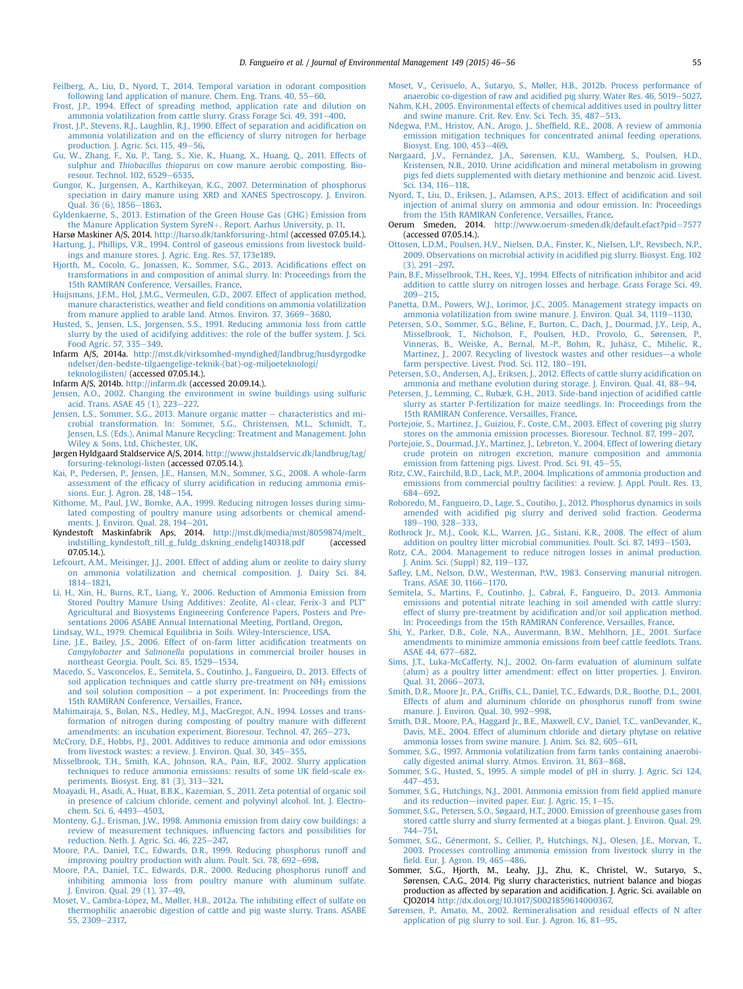<span id="page-9-0"></span>[Feilberg, A., Liu, D., Nyord, T., 2014. Temporal variation in odorant composition](http://refhub.elsevier.com/S0301-4797(14)00484-8/sref35) following land application of manure. Chem. Eng. Trans.  $40, 55-60$ .

- [Frost, J.P., 1994. Effect of spreading method, application rate and dilution on](http://refhub.elsevier.com/S0301-4797(14)00484-8/sref36) [ammonia volatilization from cattle slurry. Grass Forage Sci. 49, 391](http://refhub.elsevier.com/S0301-4797(14)00484-8/sref36)-[400](http://refhub.elsevier.com/S0301-4797(14)00484-8/sref36).
- [Frost, J.P., Stevens, R.J., Laughlin, R.J., 1990. Effect of separation and acidi](http://refhub.elsevier.com/S0301-4797(14)00484-8/sref37)fication on [ammonia volatilization and on the ef](http://refhub.elsevier.com/S0301-4797(14)00484-8/sref37)ficiency of slurry nitrogen for herbage production. J. Agric. Sci.  $115, 49-56$ .
- [Gu, W., Zhang, F., Xu, P., Tang, S., Xie, K., Huang, X., Huang, Q., 2011. Effects of](http://refhub.elsevier.com/S0301-4797(14)00484-8/sref38) sulphur and Thiobacillus thioparus [on cow manure aerobic composting. Bio](http://refhub.elsevier.com/S0301-4797(14)00484-8/sref38)[resour. Technol. 102, 6529](http://refhub.elsevier.com/S0301-4797(14)00484-8/sref38)-[6535.](http://refhub.elsevier.com/S0301-4797(14)00484-8/sref38)
- [Gungor, K., Jurgensen, A., Karthikeyan, K.G., 2007. Determination of phosphorus](http://refhub.elsevier.com/S0301-4797(14)00484-8/sref39) [speciation in dairy manure using XRD and XANES Spectroscopy. J. Environ.](http://refhub.elsevier.com/S0301-4797(14)00484-8/sref39) Oual.  $36(6)$ ,  $1856-1863$  $1856-1863$ .
- [Gyldenkaerne, S., 2013. Estimation of the Green House Gas \(GHG\) Emission from](http://refhub.elsevier.com/S0301-4797(14)00484-8/sref40) [the Manure Application System SyreN](http://refhub.elsevier.com/S0301-4797(14)00484-8/sref40)+[. Report. Aarhus University, p. 11.](http://refhub.elsevier.com/S0301-4797(14)00484-8/sref40)
- Harsø Maskiner A/S, 2014. <http://harso.dk/tankforsuring-.html> (accessed 07.05.14.). [Hartung, J., Phillips, V.R., 1994. Control of gaseous emissions from livestock build](http://refhub.elsevier.com/S0301-4797(14)00484-8/sref42)[ings and manure stores. J. Agric. Eng. Res. 57, 173e189](http://refhub.elsevier.com/S0301-4797(14)00484-8/sref42).
- [Hjorth, M., Cocolo, G., Jonassen, K., Sommer, S.G., 2013. Acidi](http://refhub.elsevier.com/S0301-4797(14)00484-8/sref43)fications effect on [transformations in and composition of animal slurry. In: Proceedings from the](http://refhub.elsevier.com/S0301-4797(14)00484-8/sref43) [15th RAMIRAN Conference, Versailles, France](http://refhub.elsevier.com/S0301-4797(14)00484-8/sref43).
- [Huijsmans, J.F.M., Hol, J.M.G., Vermeulen, G.D., 2007. Effect of application method,](http://refhub.elsevier.com/S0301-4797(14)00484-8/sref44) manure characteristics, weather and fi[eld conditions on ammonia volatilization](http://refhub.elsevier.com/S0301-4797(14)00484-8/sref44) [from manure applied to arable land. Atmos. Environ. 37, 3669](http://refhub.elsevier.com/S0301-4797(14)00484-8/sref44)-[3680](http://refhub.elsevier.com/S0301-4797(14)00484-8/sref44).
- [Husted, S., Jensen, L.S., Jorgensen, S.S., 1991. Reducing ammonia loss from cattle](http://refhub.elsevier.com/S0301-4797(14)00484-8/sref45) [slurry by the used of acidifying additives: the role of the buffer system. J. Sci.](http://refhub.elsevier.com/S0301-4797(14)00484-8/sref45) [Food Agric. 57, 335](http://refhub.elsevier.com/S0301-4797(14)00484-8/sref45)-[349.](http://refhub.elsevier.com/S0301-4797(14)00484-8/sref45)
- Infarm A/S, 2014a. [http://mst.dk/virksomhed-myndighed/landbrug/husdyrgodke](http://mst.dk/virksomhed-myndighed/landbrug/husdyrgodkendelser/den-bedste-tilgaengelige-teknik-(bat)-og-miljoeteknologi/teknologilisten/) [ndelser/den-bedste-tilgaengelige-teknik-\(bat\)-og-miljoeteknologi/](http://mst.dk/virksomhed-myndighed/landbrug/husdyrgodkendelser/den-bedste-tilgaengelige-teknik-(bat)-og-miljoeteknologi/teknologilisten/) [teknologilisten/](http://mst.dk/virksomhed-myndighed/landbrug/husdyrgodkendelser/den-bedste-tilgaengelige-teknik-(bat)-og-miljoeteknologi/teknologilisten/) (accessed 07.05.14.).
- Infarm A/S, 2014b. <http://infarm.dk> (accessed 20.09.14.).
- [Jensen, A.O., 2002. Changing the environment in swine buildings using sulfuric](http://refhub.elsevier.com/S0301-4797(14)00484-8/sref46) [acid. Trans. ASAE 45 \(1\), 223](http://refhub.elsevier.com/S0301-4797(14)00484-8/sref46)-[227.](http://refhub.elsevier.com/S0301-4797(14)00484-8/sref46)
- [Jensen, L.S., Sommer, S.G., 2013. Manure organic matter](http://refhub.elsevier.com/S0301-4797(14)00484-8/sref47) [characteristics and mi](http://refhub.elsevier.com/S0301-4797(14)00484-8/sref47)[crobial transformation. In: Sommer, S.G., Christensen, M.L., Schmidt, T.,](http://refhub.elsevier.com/S0301-4797(14)00484-8/sref47) [Jensen, L.S. \(Eds.\), Animal Manure Recycling: Treatment and Management. John](http://refhub.elsevier.com/S0301-4797(14)00484-8/sref47) [Wiley](http://refhub.elsevier.com/S0301-4797(14)00484-8/sref47) & [Sons, Ltd, Chichester, UK](http://refhub.elsevier.com/S0301-4797(14)00484-8/sref47).
- Jørgen Hyldgaard Staldservice A/S, 2014. [http://www.jhstaldservic.dk/landbrug/tag/](http://www.jhstaldservic.dk/landbrug/tag/forsuring-teknologi-listen) [forsuring-teknologi-listen](http://www.jhstaldservic.dk/landbrug/tag/forsuring-teknologi-listen) (accessed 07.05.14.).
- [Kai, P., Pedersen, P., Jensen, J.E., Hansen, M.N., Sommer, S.G., 2008. A whole-farm](http://refhub.elsevier.com/S0301-4797(14)00484-8/sref48) assessment of the efficacy of slurry acidifi[cation in reducing ammonia emis](http://refhub.elsevier.com/S0301-4797(14)00484-8/sref48)[sions. Eur. J. Agron. 28, 148](http://refhub.elsevier.com/S0301-4797(14)00484-8/sref48)-[154](http://refhub.elsevier.com/S0301-4797(14)00484-8/sref48).
- [Kithome, M., Paul, J.W., Bomke, A.A., 1999. Reducing nitrogen losses during simu](http://refhub.elsevier.com/S0301-4797(14)00484-8/sref49)[lated composting of poultry manure using adsorbents or chemical amend](http://refhub.elsevier.com/S0301-4797(14)00484-8/sref49)[ments. J. Environ. Qual. 28, 194](http://refhub.elsevier.com/S0301-4797(14)00484-8/sref49)-[201.](http://refhub.elsevier.com/S0301-4797(14)00484-8/sref49)
- Kyndestoft Maskinfabrik Aps, 2014. [http://mst.dk/media/mst/8059874/melt\\_](http://mst.dk/media/mst/8059874/melt_indstilling_kyndestoft_till_g_fuldg_dskning_endelig140318.pdf) [indstilling\\_kyndestoft\\_till\\_g\\_fuldg\\_dskning\\_endelig140318.pdf](http://mst.dk/media/mst/8059874/melt_indstilling_kyndestoft_till_g_fuldg_dskning_endelig140318.pdf) (accessed 07.05.14.).
- [Lefcourt, A.M., Meisinger, J.J., 2001. Effect of adding alum or zeolite to dairy slurry](http://refhub.elsevier.com/S0301-4797(14)00484-8/sref50) [on ammonia volatilization and chemical composition. J. Dairy Sci. 84,](http://refhub.elsevier.com/S0301-4797(14)00484-8/sref50) [1814](http://refhub.elsevier.com/S0301-4797(14)00484-8/sref50)-[1821.](http://refhub.elsevier.com/S0301-4797(14)00484-8/sref50)
- [Li, H., Xin, H., Burns, R.T., Liang, Y., 2006. Reduction of Ammonia Emission from](http://refhub.elsevier.com/S0301-4797(14)00484-8/sref51) [Stored Poultry Manure Using Additives: Zeolite, Al](http://refhub.elsevier.com/S0301-4797(14)00484-8/sref51)+[clear, Ferix-3 and PLT](http://refhub.elsevier.com/S0301-4797(14)00484-8/sref51)" [Agricultural and Biosystems Engineering Conference Papers, Posters and Pre](http://refhub.elsevier.com/S0301-4797(14)00484-8/sref51)[sentations 2006 ASABE Annual International Meeting, Portland, Oregon](http://refhub.elsevier.com/S0301-4797(14)00484-8/sref51).
- [Lindsay, W.L., 1979. Chemical Equilibria in Soils. Wiley-Interscience, USA](http://refhub.elsevier.com/S0301-4797(14)00484-8/sref52).
- [Line, J.E., Bailey, J.S., 2006. Effect of on-farm litter acidi](http://refhub.elsevier.com/S0301-4797(14)00484-8/sref53)fication treatments on Campylobacter and Salmonella [populations in commercial broiler houses in](http://refhub.elsevier.com/S0301-4797(14)00484-8/sref53) [northeast Georgia. Poult. Sci. 85, 1529](http://refhub.elsevier.com/S0301-4797(14)00484-8/sref53)-[1534.](http://refhub.elsevier.com/S0301-4797(14)00484-8/sref53)
- [Macedo, S., Vasconcelos, E., Semitela, S., Coutinho, J., Fangueiro, D., 2013. Effects of](http://refhub.elsevier.com/S0301-4797(14)00484-8/sref54) soil application techniques and cattle slurry pre-treatment on NH<sub>3</sub> [emissions](http://refhub.elsevier.com/S0301-4797(14)00484-8/sref54) [and soil solution composition](http://refhub.elsevier.com/S0301-4797(14)00484-8/sref54)  $-$  [a pot experiment. In: Proceedings from the](http://refhub.elsevier.com/S0301-4797(14)00484-8/sref54) [15th RAMIRAN Conference, Versailles, France](http://refhub.elsevier.com/S0301-4797(14)00484-8/sref54).
- [Mahimairaja, S., Bolan, N.S., Hedley, M.J., MacGregor, A.N., 1994. Losses and trans](http://refhub.elsevier.com/S0301-4797(14)00484-8/sref55)[formation of nitrogen during composting of poultry manure with different](http://refhub.elsevier.com/S0301-4797(14)00484-8/sref55) [amendments: an incubation experiment. Bioresour. Technol. 47, 265](http://refhub.elsevier.com/S0301-4797(14)00484-8/sref55)-[273.](http://refhub.elsevier.com/S0301-4797(14)00484-8/sref55)
- [McCrory, D.F., Hobbs, P.J., 2001. Additives to reduce ammonia and odor emissions](http://refhub.elsevier.com/S0301-4797(14)00484-8/sref56) [from livestock wastes: a review. J. Environ. Qual. 30, 345](http://refhub.elsevier.com/S0301-4797(14)00484-8/sref56)-[355](http://refhub.elsevier.com/S0301-4797(14)00484-8/sref56).
- [Misselbrook, T.H., Smith, K.A., Johnson, R.A., Pain, B.F., 2002. Slurry application](http://refhub.elsevier.com/S0301-4797(14)00484-8/sref57) [techniques to reduce ammonia emissions: results of some UK](http://refhub.elsevier.com/S0301-4797(14)00484-8/sref57) field-scale experiments. Biosyst. Eng.  $81$  (3),  $313-321$ .
- [Moayadi, H., Asadi, A., Huat, B.B.K., Kazemian, S., 2011. Zeta potential of organic soil](http://refhub.elsevier.com/S0301-4797(14)00484-8/sref58) [in presence of calcium chloride, cement and polyvinyl alcohol. Int. J. Electro](http://refhub.elsevier.com/S0301-4797(14)00484-8/sref58)[chem. Sci. 6, 4493](http://refhub.elsevier.com/S0301-4797(14)00484-8/sref58)-[4503](http://refhub.elsevier.com/S0301-4797(14)00484-8/sref58).
- [Monteny, G.J., Erisman, J.W., 1998. Ammonia emission from dairy cow buildings: a](http://refhub.elsevier.com/S0301-4797(14)00484-8/sref59) [review of measurement techniques, in](http://refhub.elsevier.com/S0301-4797(14)00484-8/sref59)fluencing factors and possibilities for [reduction. Neth. J. Agric. Sci. 46, 225](http://refhub.elsevier.com/S0301-4797(14)00484-8/sref59)-[247.](http://refhub.elsevier.com/S0301-4797(14)00484-8/sref59)
- [Moore, P.A., Daniel, T.C., Edwards, D.R., 1999. Reducing phosphorus runoff and](http://refhub.elsevier.com/S0301-4797(14)00484-8/sref60) improving poultry production with alum. Poult. Sci.  $78,692-698$ .
- [Moore, P.A., Daniel, T.C., Edwards, D.R., 2000. Reducing phosphorus runoff and](http://refhub.elsevier.com/S0301-4797(14)00484-8/sref61) [inhibiting ammonia loss from poultry manure with aluminum sulfate.](http://refhub.elsevier.com/S0301-4797(14)00484-8/sref61) [J. Environ. Qual. 29 \(1\), 37](http://refhub.elsevier.com/S0301-4797(14)00484-8/sref61)-[49.](http://refhub.elsevier.com/S0301-4797(14)00484-8/sref61)
- [Moset, V., Cambra-L](http://refhub.elsevier.com/S0301-4797(14)00484-8/sref62)ó[pez, M., Møller, H.B., 2012a. The inhibiting effect of sulfate on](http://refhub.elsevier.com/S0301-4797(14)00484-8/sref62) [thermophilic anaerobic digestion of cattle and pig waste slurry. Trans. ASABE](http://refhub.elsevier.com/S0301-4797(14)00484-8/sref62) [55, 2309](http://refhub.elsevier.com/S0301-4797(14)00484-8/sref62)-[2317.](http://refhub.elsevier.com/S0301-4797(14)00484-8/sref62)
- [Moset, V., Cerisuelo, A., Sutaryo, S., M](http://refhub.elsevier.com/S0301-4797(14)00484-8/sref63)ø[ller, H.B., 2012b. Process performance of](http://refhub.elsevier.com/S0301-4797(14)00484-8/sref63) [anaerobic co-digestion of raw and acidi](http://refhub.elsevier.com/S0301-4797(14)00484-8/sref63)fied pig slurry. Water Res. 46, 5019-[5027.](http://refhub.elsevier.com/S0301-4797(14)00484-8/sref63) [Nahm, K.H., 2005. Environmental effects of chemical additives used in poultry litter](http://refhub.elsevier.com/S0301-4797(14)00484-8/sref64)
- [and swine manure. Crit. Rev. Env. Sci. Tech. 35, 487](http://refhub.elsevier.com/S0301-4797(14)00484-8/sref64)-[513](http://refhub.elsevier.com/S0301-4797(14)00484-8/sref64). [Ndegwa, P.M., Hristov, A.N., Arogo, J., Shef](http://refhub.elsevier.com/S0301-4797(14)00484-8/sref65)field, R.E., 2008. A review of ammonia
- [emission mitigation techniques for concentrated animal feeding operations.](http://refhub.elsevier.com/S0301-4797(14)00484-8/sref65) Biosyst. Eng.  $100.453 - 469$ .
- [Nørgaard, J.V., Fern](http://refhub.elsevier.com/S0301-4797(14)00484-8/sref66) [andez, J.A., Sørensen, K.U., Wamberg, S., Poulsen, H.D.,](http://refhub.elsevier.com/S0301-4797(14)00484-8/sref66) Kristensen, N.B., 2010. Urine acidifi[cation and mineral metabolism in growing](http://refhub.elsevier.com/S0301-4797(14)00484-8/sref66) [pigs fed diets supplemented with dietary methionine and benzoic acid. Livest.](http://refhub.elsevier.com/S0301-4797(14)00484-8/sref66) [Sci. 134, 116](http://refhub.elsevier.com/S0301-4797(14)00484-8/sref66)-[118.](http://refhub.elsevier.com/S0301-4797(14)00484-8/sref66)
- [Nyord, T., Liu, D., Eriksen, J., Adamsen, A.P.S., 2013. Effect of acidi](http://refhub.elsevier.com/S0301-4797(14)00484-8/sref67)fication and soil [injection of animal slurry on ammonia and odour emission. In: Proceedings](http://refhub.elsevier.com/S0301-4797(14)00484-8/sref67) [from the 15th RAMIRAN Conference, Versailles, France](http://refhub.elsevier.com/S0301-4797(14)00484-8/sref67).
- Oerum Smeden, 2014. [http://www.oerum-smeden.dk/default.efact?pid](http://www.oerum-smeden.dk/default.efact%3Fpid%3D7577)=[7577](http://www.oerum-smeden.dk/default.efact%3Fpid%3D7577) (accessed 07.05.14.).
- [Ottosen, L.D.M., Poulsen, H.V., Nielsen, D.A., Finster, K., Nielsen, L.P., Revsbech, N.P.,](http://refhub.elsevier.com/S0301-4797(14)00484-8/sref68) [2009. Observations on microbial activity in acidi](http://refhub.elsevier.com/S0301-4797(14)00484-8/sref68)fied pig slurry. Biosyst. Eng. 102  $(3)$ , 291-[297.](http://refhub.elsevier.com/S0301-4797(14)00484-8/sref68)
- [Pain, B.F., Misselbrook, T.H., Rees, Y.J., 1994. Effects of nitri](http://refhub.elsevier.com/S0301-4797(14)00484-8/sref69)fication inhibitor and acid [addition to cattle slurry on nitrogen losses and herbage. Grass Forage Sci. 49,](http://refhub.elsevier.com/S0301-4797(14)00484-8/sref69)  $209 - 215$  $209 - 215$
- [Panetta, D.M., Powers, W.J., Lorimor, J.C., 2005. Management strategy impacts on](http://refhub.elsevier.com/S0301-4797(14)00484-8/sref70) [ammonia volatilization from swine manure. J. Environ. Qual. 34, 1119](http://refhub.elsevier.com/S0301-4797(14)00484-8/sref70)-[1130.](http://refhub.elsevier.com/S0301-4797(14)00484-8/sref70)
- [Petersen, S.O., Sommer, S.G., B](http://refhub.elsevier.com/S0301-4797(14)00484-8/sref71)e[line, F., Burton, C., Dach, J., Dourmad, J.Y., Leip, A.,](http://refhub.elsevier.com/S0301-4797(14)00484-8/sref71) [Misselbrook, T., Nicholson, F., Poulsen, H.D., Provolo, G., S](http://refhub.elsevier.com/S0301-4797(14)00484-8/sref71)ø[rensen, P.,](http://refhub.elsevier.com/S0301-4797(14)00484-8/sref71) [Vinneras, B., Weiske, A., Bernal, M.-P., Bohm, R., Juhasz, C., Mihelic, R.,](http://refhub.elsevier.com/S0301-4797(14)00484-8/sref71) [Martinez, J., 2007. Recycling of livestock wastes and other residues](http://refhub.elsevier.com/S0301-4797(14)00484-8/sref71)-[a whole](http://refhub.elsevier.com/S0301-4797(14)00484-8/sref71) [farm perspective. Livest. Prod. Sci. 112, 180](http://refhub.elsevier.com/S0301-4797(14)00484-8/sref71)-[191.](http://refhub.elsevier.com/S0301-4797(14)00484-8/sref71)
- [Petersen, S.O., Andersen, A.J., Eriksen, J., 2012. Effects of cattle slurry acidi](http://refhub.elsevier.com/S0301-4797(14)00484-8/sref72)fication on [ammonia and methane evolution during storage. J. Environ. Qual. 41, 88](http://refhub.elsevier.com/S0301-4797(14)00484-8/sref72)-[94.](http://refhub.elsevier.com/S0301-4797(14)00484-8/sref72)
- [Petersen, J., Lemming, C., Rubæk, G.H., 2013. Side-band injection of acidi](http://refhub.elsevier.com/S0301-4797(14)00484-8/sref73)fied cattle [slurry as starter P-fertilization for maize seedlings. In: Proceedings from the](http://refhub.elsevier.com/S0301-4797(14)00484-8/sref73) [15th RAMIRAN Conference, Versailles, France](http://refhub.elsevier.com/S0301-4797(14)00484-8/sref73).
- [Portejoie, S., Martinez, J., Guiziou, F., Coste, C.M., 2003. Effect of covering pig slurry](http://refhub.elsevier.com/S0301-4797(14)00484-8/sref74) [stores on the ammonia emission processes. Bioresour. Technol. 87, 199](http://refhub.elsevier.com/S0301-4797(14)00484-8/sref74)-[207.](http://refhub.elsevier.com/S0301-4797(14)00484-8/sref74)
- [Portejoie, S., Dourmad, J.Y., Martinez, J., Lebreton, Y., 2004. Effect of lowering dietary](http://refhub.elsevier.com/S0301-4797(14)00484-8/sref75) [crude protein on nitrogen excretion, manure composition and ammonia](http://refhub.elsevier.com/S0301-4797(14)00484-8/sref75) [emission from fattening pigs. Livest. Prod. Sci. 91, 45](http://refhub.elsevier.com/S0301-4797(14)00484-8/sref75)-[55.](http://refhub.elsevier.com/S0301-4797(14)00484-8/sref75)
- [Ritz, C.W., Fairchild, B.D., Lack, M.P., 2004. Implications of ammonia production and](http://refhub.elsevier.com/S0301-4797(14)00484-8/sref76) [emissions from commercial poultry facilities: a review. J. Appl. Poult. Res. 13,](http://refhub.elsevier.com/S0301-4797(14)00484-8/sref76) [684](http://refhub.elsevier.com/S0301-4797(14)00484-8/sref76)-[692](http://refhub.elsevier.com/S0301-4797(14)00484-8/sref76)
- [Roboredo, M., Fangueiro, D., Lage, S., Coutiho, J., 2012. Phosphorus dynamics in soils](http://refhub.elsevier.com/S0301-4797(14)00484-8/sref77) amended with acidifi[ed pig slurry and derived solid fraction. Geoderma](http://refhub.elsevier.com/S0301-4797(14)00484-8/sref77) [189](http://refhub.elsevier.com/S0301-4797(14)00484-8/sref77)-[190, 328](http://refhub.elsevier.com/S0301-4797(14)00484-8/sref77)-[333](http://refhub.elsevier.com/S0301-4797(14)00484-8/sref77).
- [Rothrock Jr., M.J., Cook, K.L., Warren, J.G., Sistani, K.R., 2008. The effect of alum](http://refhub.elsevier.com/S0301-4797(14)00484-8/sref78) [addition on poultry litter microbial communities. Poult. Sci. 87, 1493](http://refhub.elsevier.com/S0301-4797(14)00484-8/sref78)-[1503](http://refhub.elsevier.com/S0301-4797(14)00484-8/sref78).
- [Rotz, C.A., 2004. Management to reduce nitrogen losses in animal production.](http://refhub.elsevier.com/S0301-4797(14)00484-8/sref79) [J. Anim. Sci. \(Suppl\) 82, 119](http://refhub.elsevier.com/S0301-4797(14)00484-8/sref79)-[137.](http://refhub.elsevier.com/S0301-4797(14)00484-8/sref79)
- Safl[ey, L.M., Nelson, D.W., Westerman, P.W., 1983. Conserving manurial nitrogen.](http://refhub.elsevier.com/S0301-4797(14)00484-8/sref80) [Trans. ASAE 30, 1166](http://refhub.elsevier.com/S0301-4797(14)00484-8/sref80)-[1170](http://refhub.elsevier.com/S0301-4797(14)00484-8/sref80).
- [Semitela, S., Martins, F., Coutinho, J., Cabral, F., Fangueiro, D., 2013. Ammonia](http://refhub.elsevier.com/S0301-4797(14)00484-8/sref81) [emissions and potential nitrate leaching in soil amended with cattle slurry:](http://refhub.elsevier.com/S0301-4797(14)00484-8/sref81) effect of slurry pre-treatment by acidifi[cation and/or soil application method.](http://refhub.elsevier.com/S0301-4797(14)00484-8/sref81) [In: Proceedings from the 15th RAMIRAN Conference, Versailles, France](http://refhub.elsevier.com/S0301-4797(14)00484-8/sref81).
- [Shi, Y., Parker, D.B., Cole, N.A., Auvermann, B.W., Mehlhorn, J.E., 2001. Surface](http://refhub.elsevier.com/S0301-4797(14)00484-8/sref82) [amendments to minimize ammonia emissions from beef cattle feedlots. Trans.](http://refhub.elsevier.com/S0301-4797(14)00484-8/sref82) [ASAE 44, 677](http://refhub.elsevier.com/S0301-4797(14)00484-8/sref82)-[682](http://refhub.elsevier.com/S0301-4797(14)00484-8/sref82)
- [Sims, J.T., Luka-McCafferty, N.J., 2002. On-farm evaluation of aluminum sulfate](http://refhub.elsevier.com/S0301-4797(14)00484-8/sref83) [\(alum\) as a poultry litter amendment: effect on litter properties. J. Environ.](http://refhub.elsevier.com/S0301-4797(14)00484-8/sref83) [Qual. 31, 2066](http://refhub.elsevier.com/S0301-4797(14)00484-8/sref83)-[2073.](http://refhub.elsevier.com/S0301-4797(14)00484-8/sref83)
- Smith, D.R., Moore Jr., P.A., Griffi[s, C.L., Daniel, T.C., Edwards, D.R., Boothe, D.L., 2001.](http://refhub.elsevier.com/S0301-4797(14)00484-8/sref84) [Effects of alum and aluminum chloride on phosphorus runoff from swine](http://refhub.elsevier.com/S0301-4797(14)00484-8/sref84) [manure. J. Environ. Qual. 30, 992](http://refhub.elsevier.com/S0301-4797(14)00484-8/sref84)-[998](http://refhub.elsevier.com/S0301-4797(14)00484-8/sref84).
- [Smith, D.R., Moore, P.A., Haggard Jr., B.E., Maxwell, C.V., Daniel, T.C., vanDevander, K.,](http://refhub.elsevier.com/S0301-4797(14)00484-8/sref85) [Davis, M.E., 2004. Effect of aluminum chloride and dietary phytase on relative](http://refhub.elsevier.com/S0301-4797(14)00484-8/sref85) [ammonia losses from swine manure. J. Anim. Sci. 82, 605](http://refhub.elsevier.com/S0301-4797(14)00484-8/sref85)-[611.](http://refhub.elsevier.com/S0301-4797(14)00484-8/sref85)
- [Sommer, S.G., 1997. Ammonia volatilization from farm tanks containing anaerobi](http://refhub.elsevier.com/S0301-4797(14)00484-8/sref86)[cally digested animal slurry. Atmos. Environ. 31, 863](http://refhub.elsevier.com/S0301-4797(14)00484-8/sref86)-[868](http://refhub.elsevier.com/S0301-4797(14)00484-8/sref86).
- [Sommer, S.G., Husted, S., 1995. A simple model of pH in slurry. J. Agric. Sci 124,](http://refhub.elsevier.com/S0301-4797(14)00484-8/sref87) [447](http://refhub.elsevier.com/S0301-4797(14)00484-8/sref87)-[453.](http://refhub.elsevier.com/S0301-4797(14)00484-8/sref87)
- [Sommer, S.G., Hutchings, N.J., 2001. Ammonia emission from](http://refhub.elsevier.com/S0301-4797(14)00484-8/sref88) field applied manure [and its reduction](http://refhub.elsevier.com/S0301-4797(14)00484-8/sref88)-invited paper. Eur. J. Agric. [15](http://refhub.elsevier.com/S0301-4797(14)00484-8/sref88),  $1-15$ .
- [Sommer, S.G., Petersen, S.O., Søgaard, H.T., 2000. Emission of greenhouse gases from](http://refhub.elsevier.com/S0301-4797(14)00484-8/sref89) [stored cattle slurry and slurry fermented at a biogas plant. J. Environ. Qual. 29,](http://refhub.elsevier.com/S0301-4797(14)00484-8/sref89) [744](http://refhub.elsevier.com/S0301-4797(14)00484-8/sref89)-[751.](http://refhub.elsevier.com/S0301-4797(14)00484-8/sref89)
- Sommer, S.G., Génermont, S., Cellier, P., Hutchings, N.J., Olesen, J.E., Morvan, T., [2003. Processes controlling ammonia emission from livestock slurry in the](http://refhub.elsevier.com/S0301-4797(14)00484-8/sref90) fi[eld. Eur. J. Agron. 19, 465](http://refhub.elsevier.com/S0301-4797(14)00484-8/sref90)-[486](http://refhub.elsevier.com/S0301-4797(14)00484-8/sref90).
- Sommer, S.G., Hjorth, M., Leahy, J.J., Zhu, K., Christel, W., Sutaryo, S., Sørensen, C.A.G., 2014. Pig slurry characteristics, nutrient balance and biogas production as affected by separation and acidification. J. Agric. Sci. available on CJO2014 [http://dx.doi.org/10.1017/S0021859614000367.](http://dx.doi.org/10.1017/S0021859614000367)
- [Sørensen, P., Amato, M., 2002. Remineralisation and residual effects of N after](http://refhub.elsevier.com/S0301-4797(14)00484-8/sref92) application of pig slurry to soil. Eur. J. Agron.  $16$ ,  $81-95$  $81-95$ .